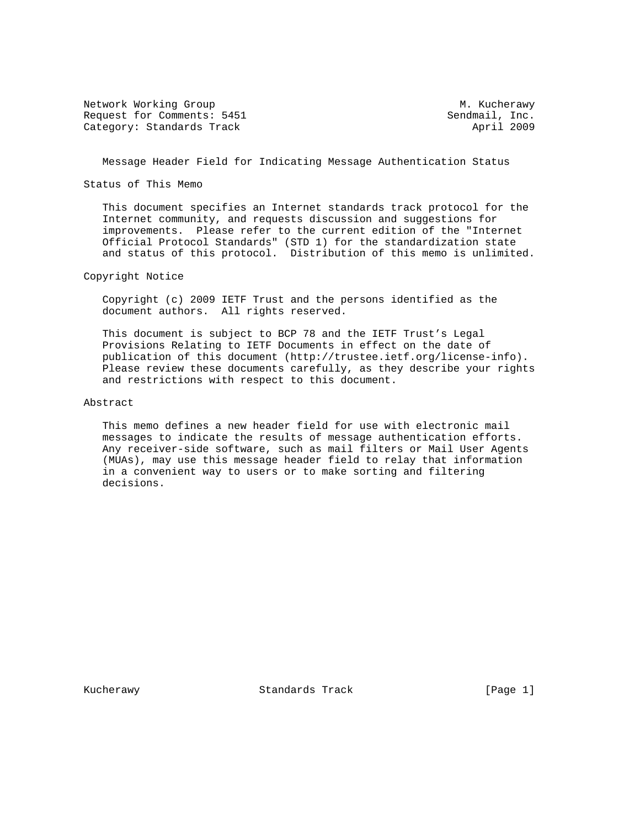Network Working Group Metwork Muslim Communication of Muslim Muslim Muslim Muslim Muslim Muslim Muslim Muslim Mu Request for Comments: 5451 Sendmail, Inc. Category: Standards Track April 2009

Message Header Field for Indicating Message Authentication Status

Status of This Memo

 This document specifies an Internet standards track protocol for the Internet community, and requests discussion and suggestions for improvements. Please refer to the current edition of the "Internet Official Protocol Standards" (STD 1) for the standardization state and status of this protocol. Distribution of this memo is unlimited.

Copyright Notice

 Copyright (c) 2009 IETF Trust and the persons identified as the document authors. All rights reserved.

 This document is subject to BCP 78 and the IETF Trust's Legal Provisions Relating to IETF Documents in effect on the date of publication of this document (http://trustee.ietf.org/license-info). Please review these documents carefully, as they describe your rights and restrictions with respect to this document.

### Abstract

 This memo defines a new header field for use with electronic mail messages to indicate the results of message authentication efforts. Any receiver-side software, such as mail filters or Mail User Agents (MUAs), may use this message header field to relay that information in a convenient way to users or to make sorting and filtering decisions.

Kucherawy **Standards Track** [Page 1]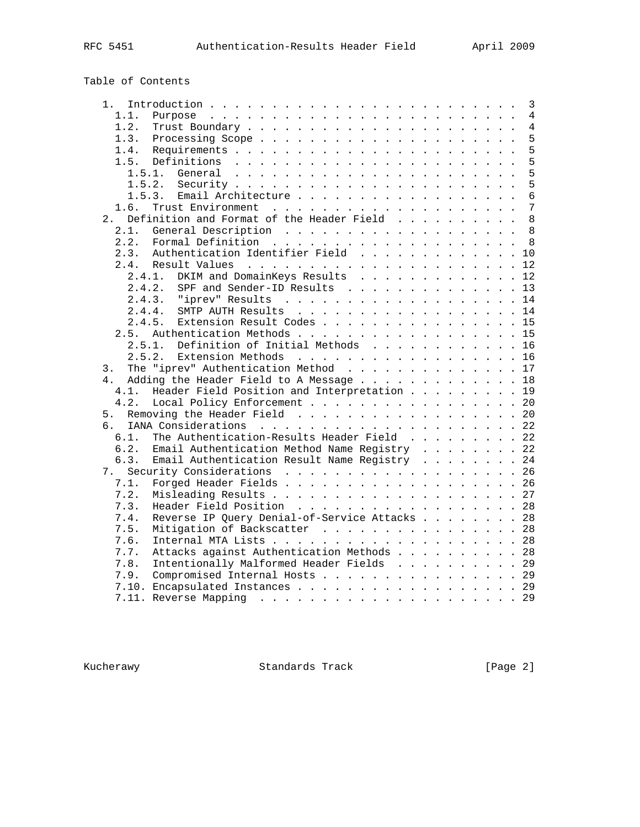# Table of Contents

| 1.             |                                                                       |  |  |  |  | 3              |
|----------------|-----------------------------------------------------------------------|--|--|--|--|----------------|
| 1.1.           |                                                                       |  |  |  |  | 4              |
| 1.2.           |                                                                       |  |  |  |  | $\overline{4}$ |
| 1.3.           |                                                                       |  |  |  |  | 5              |
| 1.4.           |                                                                       |  |  |  |  | 5              |
| 1.5.           | Definitions $\ldots \ldots \ldots \ldots \ldots \ldots \ldots \ldots$ |  |  |  |  | 5              |
| 1.5.1.         |                                                                       |  |  |  |  | 5              |
| 1.5.2.         |                                                                       |  |  |  |  | 5              |
| 1.5.3.         | Email Architecture                                                    |  |  |  |  | $\overline{6}$ |
| 1.6.           |                                                                       |  |  |  |  | $\overline{7}$ |
| 2.1            | Definition and Format of the Header Field                             |  |  |  |  | 8              |
| 2.1.           |                                                                       |  |  |  |  | 8              |
| 2.2.           |                                                                       |  |  |  |  |                |
| 2.3.           | Authentication Identifier Field 10                                    |  |  |  |  |                |
| 2.4.           |                                                                       |  |  |  |  |                |
| 2.4.1.         | DKIM and DomainKeys Results 12                                        |  |  |  |  |                |
| 2.4.2.         |                                                                       |  |  |  |  |                |
|                | SPF and Sender-ID Results 13<br>2.4.3. "iprev" Results 14             |  |  |  |  |                |
|                |                                                                       |  |  |  |  |                |
| 2.4.4.         | SMTP AUTH Results 14                                                  |  |  |  |  |                |
| 2.4.5.         | Extension Result Codes 15                                             |  |  |  |  |                |
| 2.5.           | Authentication Methods 15                                             |  |  |  |  |                |
| 2.5.1.         | Definition of Initial Methods 16                                      |  |  |  |  |                |
| 2.5.2.         | Extension Methods 16                                                  |  |  |  |  |                |
| 3.             | The "iprev" Authentication Method 17                                  |  |  |  |  |                |
| 4 <sub>1</sub> | Adding the Header Field to A Message 18                               |  |  |  |  |                |
| 4.1.           | Header Field Position and Interpretation 19                           |  |  |  |  |                |
| 4.2.           | Local Policy Enforcement 20                                           |  |  |  |  |                |
| 5.             | Removing the Header Field 20                                          |  |  |  |  |                |
| რ.             |                                                                       |  |  |  |  |                |
| 6.1.           | The Authentication-Results Header Field 22                            |  |  |  |  |                |
| 6.2.           | Email Authentication Method Name Registry 22                          |  |  |  |  |                |
| 6.3.           | Email Authentication Result Name Registry 24                          |  |  |  |  |                |
| 7.             | Security Considerations 26                                            |  |  |  |  |                |
| 7.1.           | Forged Header Fields 26                                               |  |  |  |  |                |
| 7.2.           |                                                                       |  |  |  |  |                |
| 7.3.           | Header Field Position 28                                              |  |  |  |  |                |
| 7.4.           | Reverse IP Query Denial-of-Service Attacks 28                         |  |  |  |  |                |
| 7.5.           | Mitigation of Backscatter 28                                          |  |  |  |  |                |
| 7.6.           |                                                                       |  |  |  |  |                |
| 7.7.           | Attacks against Authentication Methods 28                             |  |  |  |  |                |
| 7.8.           | Intentionally Malformed Header Fields 29                              |  |  |  |  |                |
| 7.9.           | Compromised Internal Hosts 29                                         |  |  |  |  |                |
|                | 7.10. Encapsulated Instances 29                                       |  |  |  |  |                |
|                |                                                                       |  |  |  |  |                |
|                |                                                                       |  |  |  |  | .29            |

Kucherawy Standards Track [Page 2]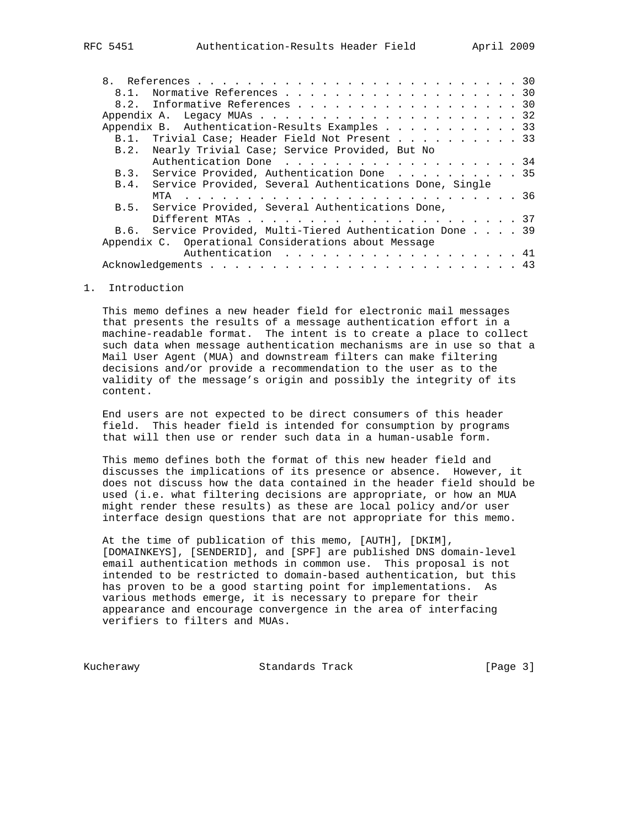|  | 8.1. Normative References 30                                |
|--|-------------------------------------------------------------|
|  | 8.2. Informative References 30                              |
|  |                                                             |
|  | Appendix B. Authentication-Results Examples 33              |
|  | B.1. Trivial Case; Header Field Not Present 33              |
|  | B.2. Nearly Trivial Case; Service Provided, But No          |
|  | Authentication Done 34                                      |
|  | B.3. Service Provided, Authentication Done 35               |
|  | B.4. Service Provided, Several Authentications Done, Single |
|  |                                                             |
|  | B.5. Service Provided, Several Authentications Done,        |
|  |                                                             |
|  | B.6. Service Provided, Multi-Tiered Authentication Done 39  |

 Appendix C. Operational Considerations about Message Authentication . . . . . . . . . . . . . . . . . . 41 Acknowledgements . . . . . . . . . . . . . . . . . . . . . . . . . 43

#### 1. Introduction

 This memo defines a new header field for electronic mail messages that presents the results of a message authentication effort in a machine-readable format. The intent is to create a place to collect such data when message authentication mechanisms are in use so that a Mail User Agent (MUA) and downstream filters can make filtering decisions and/or provide a recommendation to the user as to the validity of the message's origin and possibly the integrity of its content.

 End users are not expected to be direct consumers of this header field. This header field is intended for consumption by programs that will then use or render such data in a human-usable form.

 This memo defines both the format of this new header field and discusses the implications of its presence or absence. However, it does not discuss how the data contained in the header field should be used (i.e. what filtering decisions are appropriate, or how an MUA might render these results) as these are local policy and/or user interface design questions that are not appropriate for this memo.

 At the time of publication of this memo, [AUTH], [DKIM], [DOMAINKEYS], [SENDERID], and [SPF] are published DNS domain-level email authentication methods in common use. This proposal is not intended to be restricted to domain-based authentication, but this has proven to be a good starting point for implementations. As various methods emerge, it is necessary to prepare for their appearance and encourage convergence in the area of interfacing verifiers to filters and MUAs.

Kucherawy **Standards Track** [Page 3]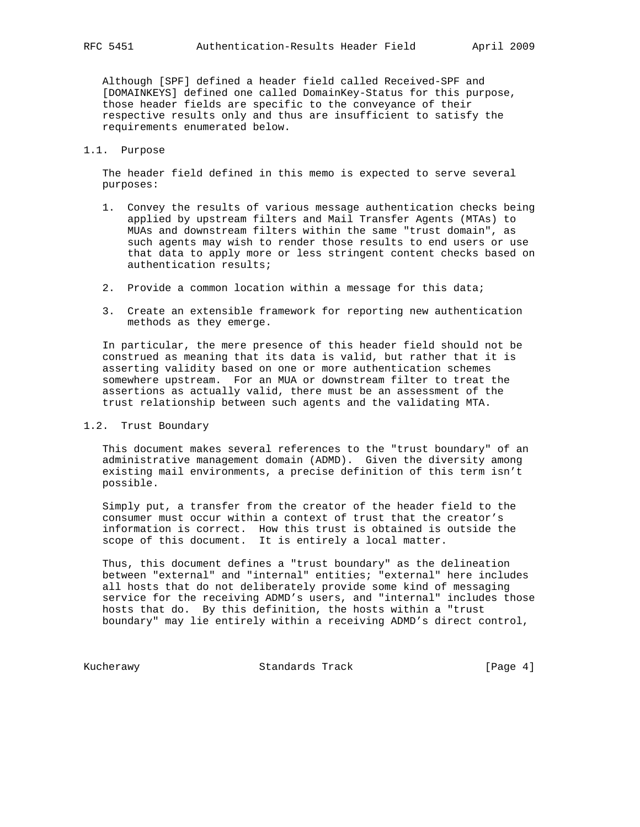Although [SPF] defined a header field called Received-SPF and [DOMAINKEYS] defined one called DomainKey-Status for this purpose, those header fields are specific to the conveyance of their respective results only and thus are insufficient to satisfy the requirements enumerated below.

#### 1.1. Purpose

 The header field defined in this memo is expected to serve several purposes:

- 1. Convey the results of various message authentication checks being applied by upstream filters and Mail Transfer Agents (MTAs) to MUAs and downstream filters within the same "trust domain", as such agents may wish to render those results to end users or use that data to apply more or less stringent content checks based on authentication results;
- 2. Provide a common location within a message for this data;
- 3. Create an extensible framework for reporting new authentication methods as they emerge.

 In particular, the mere presence of this header field should not be construed as meaning that its data is valid, but rather that it is asserting validity based on one or more authentication schemes somewhere upstream. For an MUA or downstream filter to treat the assertions as actually valid, there must be an assessment of the trust relationship between such agents and the validating MTA.

### 1.2. Trust Boundary

 This document makes several references to the "trust boundary" of an administrative management domain (ADMD). Given the diversity among existing mail environments, a precise definition of this term isn't possible.

 Simply put, a transfer from the creator of the header field to the consumer must occur within a context of trust that the creator's information is correct. How this trust is obtained is outside the scope of this document. It is entirely a local matter.

 Thus, this document defines a "trust boundary" as the delineation between "external" and "internal" entities; "external" here includes all hosts that do not deliberately provide some kind of messaging service for the receiving ADMD's users, and "internal" includes those hosts that do. By this definition, the hosts within a "trust boundary" may lie entirely within a receiving ADMD's direct control,

Kucherawy Standards Track [Page 4]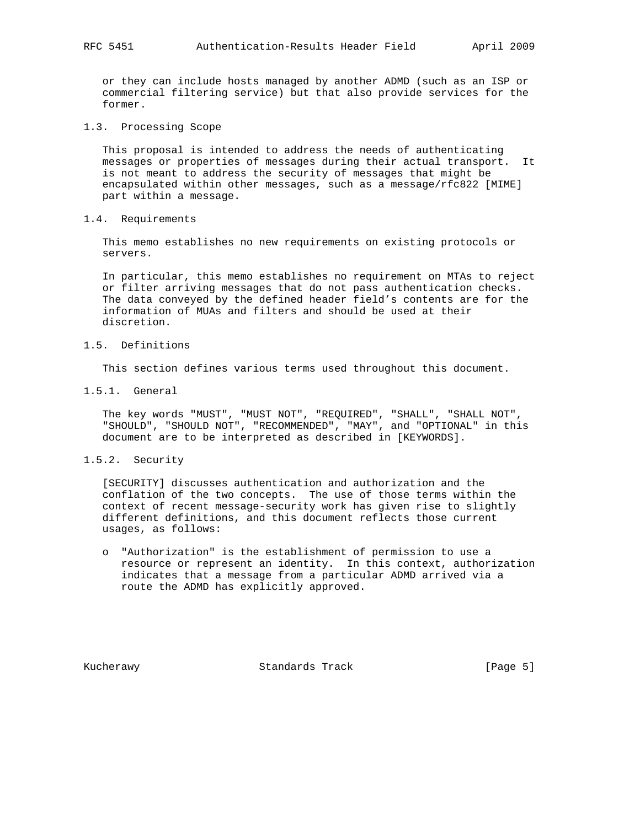or they can include hosts managed by another ADMD (such as an ISP or commercial filtering service) but that also provide services for the former.

1.3. Processing Scope

 This proposal is intended to address the needs of authenticating messages or properties of messages during their actual transport. It is not meant to address the security of messages that might be encapsulated within other messages, such as a message/rfc822 [MIME] part within a message.

1.4. Requirements

 This memo establishes no new requirements on existing protocols or servers.

 In particular, this memo establishes no requirement on MTAs to reject or filter arriving messages that do not pass authentication checks. The data conveyed by the defined header field's contents are for the information of MUAs and filters and should be used at their discretion.

1.5. Definitions

This section defines various terms used throughout this document.

1.5.1. General

 The key words "MUST", "MUST NOT", "REQUIRED", "SHALL", "SHALL NOT", "SHOULD", "SHOULD NOT", "RECOMMENDED", "MAY", and "OPTIONAL" in this document are to be interpreted as described in [KEYWORDS].

1.5.2. Security

 [SECURITY] discusses authentication and authorization and the conflation of the two concepts. The use of those terms within the context of recent message-security work has given rise to slightly different definitions, and this document reflects those current usages, as follows:

 o "Authorization" is the establishment of permission to use a resource or represent an identity. In this context, authorization indicates that a message from a particular ADMD arrived via a route the ADMD has explicitly approved.

Kucherawy Standards Track [Page 5]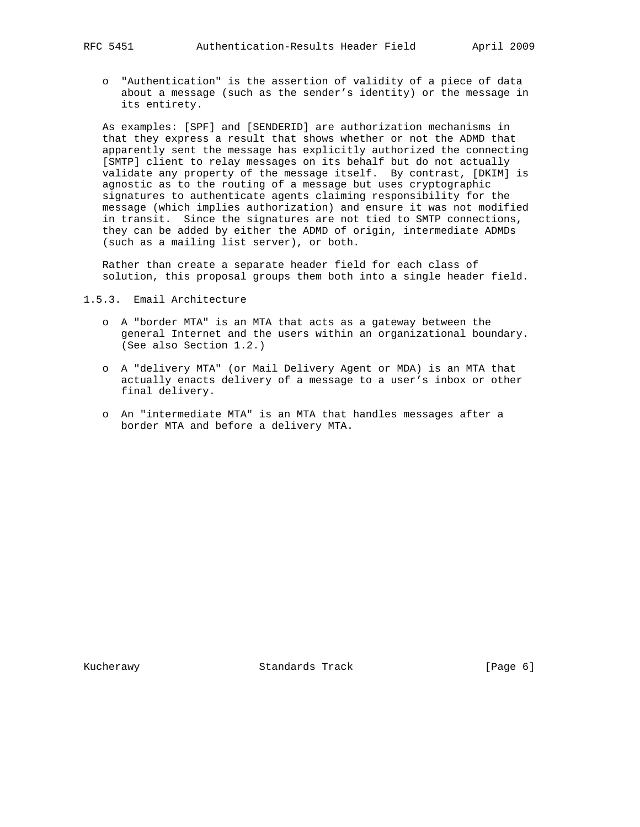o "Authentication" is the assertion of validity of a piece of data about a message (such as the sender's identity) or the message in its entirety.

 As examples: [SPF] and [SENDERID] are authorization mechanisms in that they express a result that shows whether or not the ADMD that apparently sent the message has explicitly authorized the connecting [SMTP] client to relay messages on its behalf but do not actually validate any property of the message itself. By contrast, [DKIM] is agnostic as to the routing of a message but uses cryptographic signatures to authenticate agents claiming responsibility for the message (which implies authorization) and ensure it was not modified in transit. Since the signatures are not tied to SMTP connections, they can be added by either the ADMD of origin, intermediate ADMDs (such as a mailing list server), or both.

 Rather than create a separate header field for each class of solution, this proposal groups them both into a single header field.

1.5.3. Email Architecture

- o A "border MTA" is an MTA that acts as a gateway between the general Internet and the users within an organizational boundary. (See also Section 1.2.)
- o A "delivery MTA" (or Mail Delivery Agent or MDA) is an MTA that actually enacts delivery of a message to a user's inbox or other final delivery.
- o An "intermediate MTA" is an MTA that handles messages after a border MTA and before a delivery MTA.

Kucherawy Standards Track [Page 6]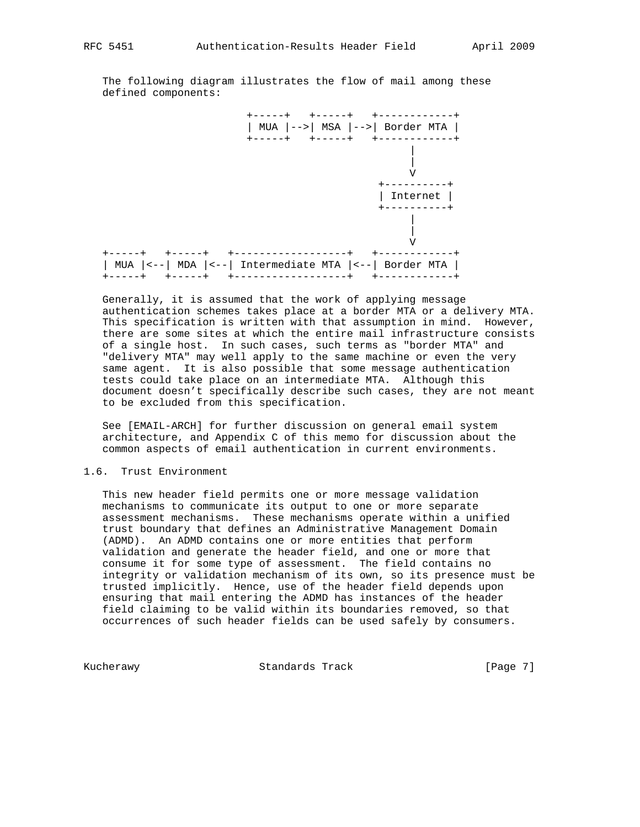The following diagram illustrates the flow of mail among these defined components:



 Generally, it is assumed that the work of applying message authentication schemes takes place at a border MTA or a delivery MTA. This specification is written with that assumption in mind. However, there are some sites at which the entire mail infrastructure consists of a single host. In such cases, such terms as "border MTA" and "delivery MTA" may well apply to the same machine or even the very same agent. It is also possible that some message authentication tests could take place on an intermediate MTA. Although this document doesn't specifically describe such cases, they are not meant to be excluded from this specification.

 See [EMAIL-ARCH] for further discussion on general email system architecture, and Appendix C of this memo for discussion about the common aspects of email authentication in current environments.

#### 1.6. Trust Environment

 This new header field permits one or more message validation mechanisms to communicate its output to one or more separate assessment mechanisms. These mechanisms operate within a unified trust boundary that defines an Administrative Management Domain (ADMD). An ADMD contains one or more entities that perform validation and generate the header field, and one or more that consume it for some type of assessment. The field contains no integrity or validation mechanism of its own, so its presence must be trusted implicitly. Hence, use of the header field depends upon ensuring that mail entering the ADMD has instances of the header field claiming to be valid within its boundaries removed, so that occurrences of such header fields can be used safely by consumers.

Kucherawy Standards Track [Page 7]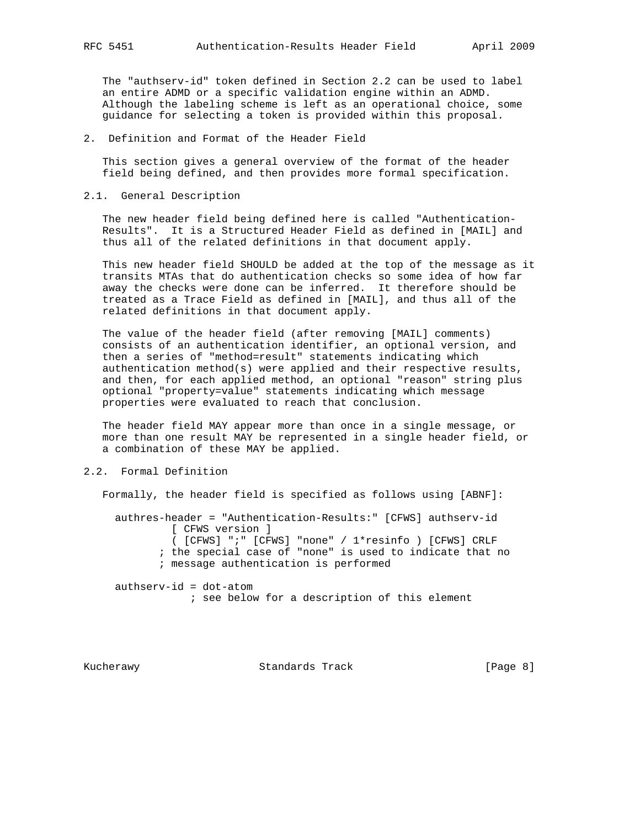The "authserv-id" token defined in Section 2.2 can be used to label an entire ADMD or a specific validation engine within an ADMD. Although the labeling scheme is left as an operational choice, some guidance for selecting a token is provided within this proposal.

#### 2. Definition and Format of the Header Field

 This section gives a general overview of the format of the header field being defined, and then provides more formal specification.

#### 2.1. General Description

 The new header field being defined here is called "Authentication- Results". It is a Structured Header Field as defined in [MAIL] and thus all of the related definitions in that document apply.

 This new header field SHOULD be added at the top of the message as it transits MTAs that do authentication checks so some idea of how far away the checks were done can be inferred. It therefore should be treated as a Trace Field as defined in [MAIL], and thus all of the related definitions in that document apply.

 The value of the header field (after removing [MAIL] comments) consists of an authentication identifier, an optional version, and then a series of "method=result" statements indicating which authentication method(s) were applied and their respective results, and then, for each applied method, an optional "reason" string plus optional "property=value" statements indicating which message properties were evaluated to reach that conclusion.

 The header field MAY appear more than once in a single message, or more than one result MAY be represented in a single header field, or a combination of these MAY be applied.

### 2.2. Formal Definition

Formally, the header field is specified as follows using [ABNF]:

 authres-header = "Authentication-Results:" [CFWS] authserv-id [ CFWS version ] ( [CFWS] ";" [CFWS] "none" / 1\*resinfo ) [CFWS] CRLF

- ; the special case of "none" is used to indicate that no
- ; message authentication is performed

 authserv-id = dot-atom ; see below for a description of this element

Kucherawy Standards Track [Page 8]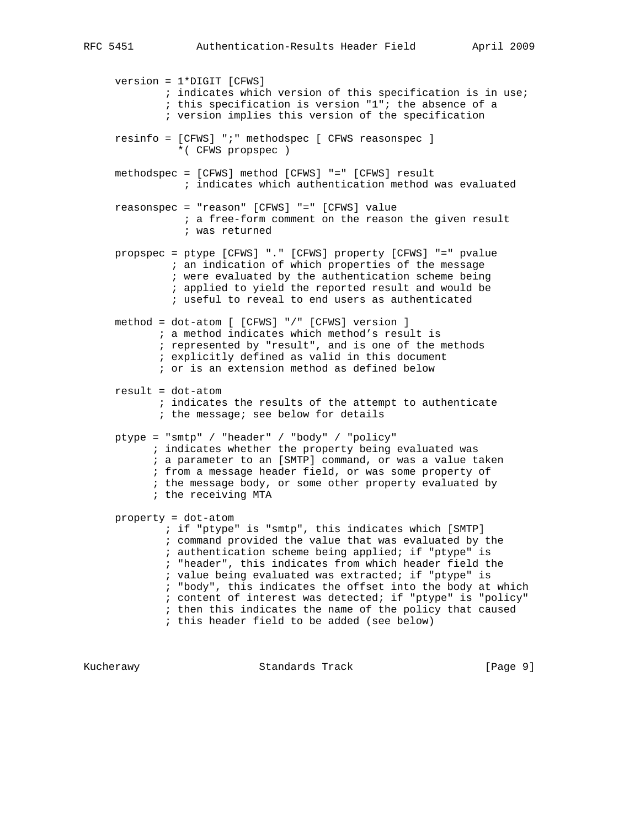version = 1\*DIGIT [CFWS] ; indicates which version of this specification is in use; ; this specification is version "1"; the absence of a ; version implies this version of the specification resinfo = [CFWS] ";" methodspec [ CFWS reasonspec ] \*( CFWS propspec ) methodspec = [CFWS] method [CFWS] "=" [CFWS] result ; indicates which authentication method was evaluated reasonspec = "reason" [CFWS] "=" [CFWS] value ; a free-form comment on the reason the given result ; was returned propspec = ptype [CFWS] "." [CFWS] property [CFWS] "=" pvalue ; an indication of which properties of the message ; were evaluated by the authentication scheme being ; applied to yield the reported result and would be ; useful to reveal to end users as authenticated method = dot-atom [ [CFWS] "/" [CFWS] version ] ; a method indicates which method's result is ; represented by "result", and is one of the methods ; explicitly defined as valid in this document ; or is an extension method as defined below result = dot-atom ; indicates the results of the attempt to authenticate ; the message; see below for details ptype = "smtp" / "header" / "body" / "policy" ; indicates whether the property being evaluated was ; a parameter to an [SMTP] command, or was a value taken ; from a message header field, or was some property of ; the message body, or some other property evaluated by ; the receiving MTA property = dot-atom ; if "ptype" is "smtp", this indicates which [SMTP] ; command provided the value that was evaluated by the ; authentication scheme being applied; if "ptype" is ; "header", this indicates from which header field the ; value being evaluated was extracted; if "ptype" is ; "body", this indicates the offset into the body at which ; content of interest was detected; if "ptype" is "policy" ; then this indicates the name of the policy that caused ; this header field to be added (see below)

Kucherawy **Standards Track** [Page 9]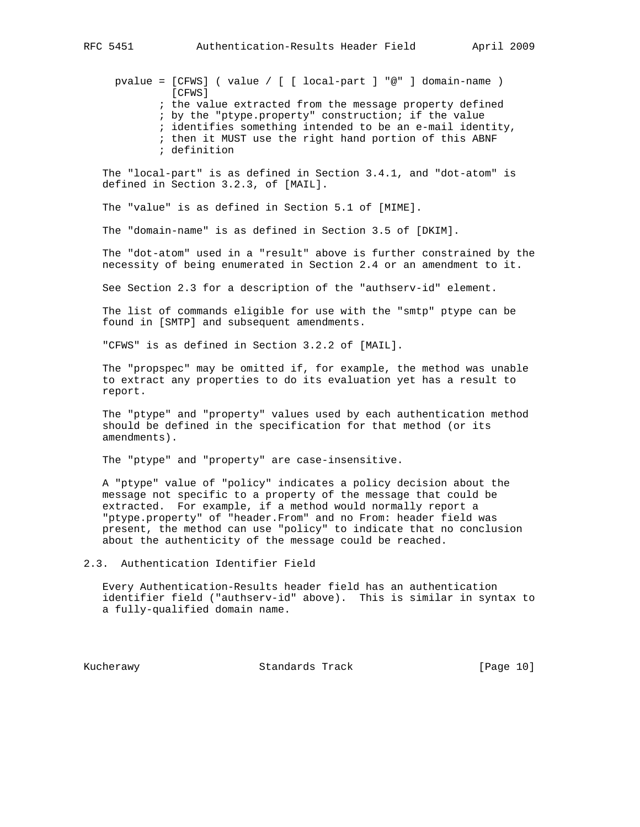pvalue = [CFWS] ( value / [ [ local-part ] "@" ] domain-name ) [CFWS] ; the value extracted from the message property defined ; by the "ptype.property" construction; if the value ; identifies something intended to be an e-mail identity, ; then it MUST use the right hand portion of this ABNF ; definition

 The "local-part" is as defined in Section 3.4.1, and "dot-atom" is defined in Section 3.2.3, of [MAIL].

The "value" is as defined in Section 5.1 of [MIME].

The "domain-name" is as defined in Section 3.5 of [DKIM].

 The "dot-atom" used in a "result" above is further constrained by the necessity of being enumerated in Section 2.4 or an amendment to it.

See Section 2.3 for a description of the "authserv-id" element.

 The list of commands eligible for use with the "smtp" ptype can be found in [SMTP] and subsequent amendments.

"CFWS" is as defined in Section 3.2.2 of [MAIL].

 The "propspec" may be omitted if, for example, the method was unable to extract any properties to do its evaluation yet has a result to report.

 The "ptype" and "property" values used by each authentication method should be defined in the specification for that method (or its amendments).

The "ptype" and "property" are case-insensitive.

 A "ptype" value of "policy" indicates a policy decision about the message not specific to a property of the message that could be extracted. For example, if a method would normally report a "ptype.property" of "header.From" and no From: header field was present, the method can use "policy" to indicate that no conclusion about the authenticity of the message could be reached.

2.3. Authentication Identifier Field

 Every Authentication-Results header field has an authentication identifier field ("authserv-id" above). This is similar in syntax to a fully-qualified domain name.

Kucherawy Standards Track [Page 10]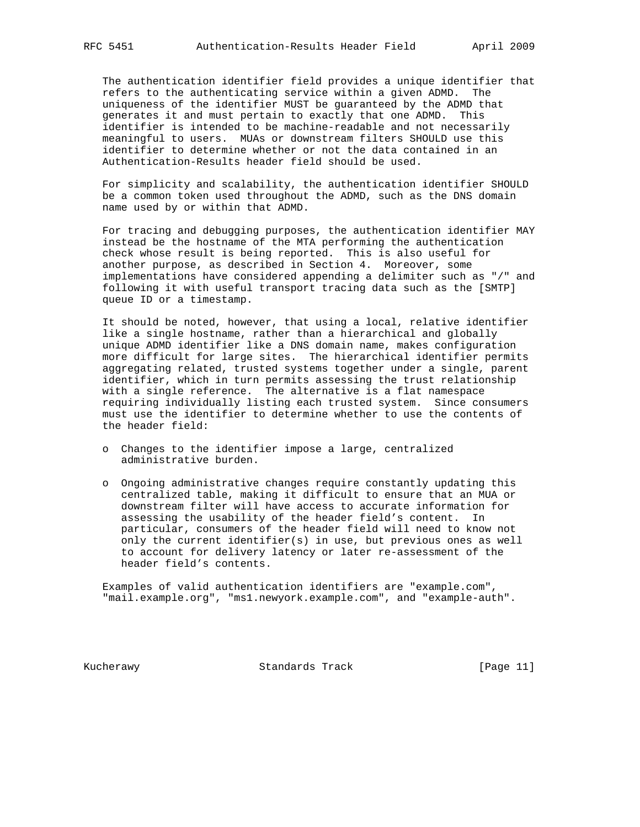The authentication identifier field provides a unique identifier that refers to the authenticating service within a given ADMD. The uniqueness of the identifier MUST be guaranteed by the ADMD that generates it and must pertain to exactly that one ADMD. This identifier is intended to be machine-readable and not necessarily meaningful to users. MUAs or downstream filters SHOULD use this identifier to determine whether or not the data contained in an Authentication-Results header field should be used.

 For simplicity and scalability, the authentication identifier SHOULD be a common token used throughout the ADMD, such as the DNS domain name used by or within that ADMD.

 For tracing and debugging purposes, the authentication identifier MAY instead be the hostname of the MTA performing the authentication check whose result is being reported. This is also useful for another purpose, as described in Section 4. Moreover, some implementations have considered appending a delimiter such as "/" and following it with useful transport tracing data such as the [SMTP] queue ID or a timestamp.

 It should be noted, however, that using a local, relative identifier like a single hostname, rather than a hierarchical and globally unique ADMD identifier like a DNS domain name, makes configuration more difficult for large sites. The hierarchical identifier permits aggregating related, trusted systems together under a single, parent identifier, which in turn permits assessing the trust relationship with a single reference. The alternative is a flat namespace requiring individually listing each trusted system. Since consumers must use the identifier to determine whether to use the contents of the header field:

- o Changes to the identifier impose a large, centralized administrative burden.
- o Ongoing administrative changes require constantly updating this centralized table, making it difficult to ensure that an MUA or downstream filter will have access to accurate information for assessing the usability of the header field's content. In particular, consumers of the header field will need to know not only the current identifier(s) in use, but previous ones as well to account for delivery latency or later re-assessment of the header field's contents.

 Examples of valid authentication identifiers are "example.com", "mail.example.org", "ms1.newyork.example.com", and "example-auth".

Kucherawy Standards Track [Page 11]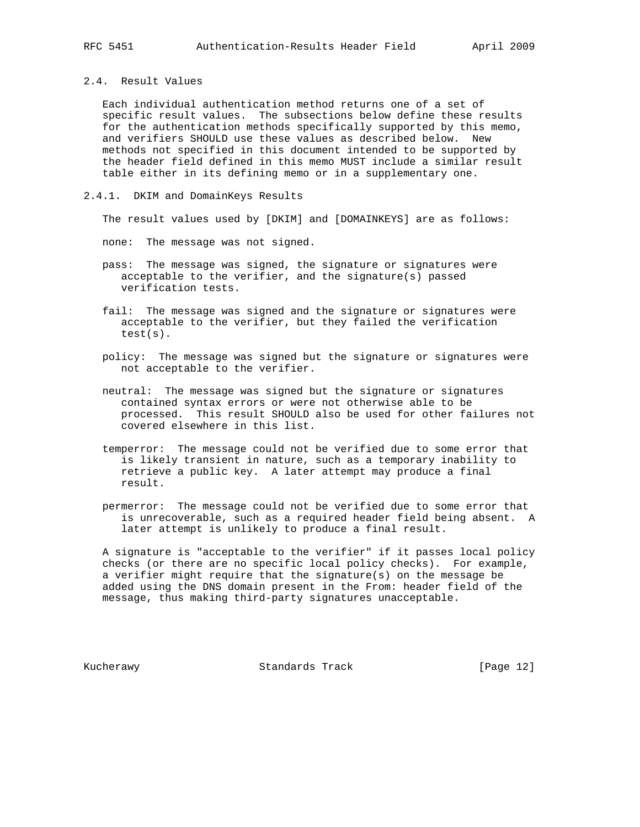### 2.4. Result Values

 Each individual authentication method returns one of a set of specific result values. The subsections below define these results for the authentication methods specifically supported by this memo, and verifiers SHOULD use these values as described below. New methods not specified in this document intended to be supported by the header field defined in this memo MUST include a similar result table either in its defining memo or in a supplementary one.

#### 2.4.1. DKIM and DomainKeys Results

The result values used by [DKIM] and [DOMAINKEYS] are as follows:

none: The message was not signed.

- pass: The message was signed, the signature or signatures were acceptable to the verifier, and the signature(s) passed verification tests.
- fail: The message was signed and the signature or signatures were acceptable to the verifier, but they failed the verification test(s).
- policy: The message was signed but the signature or signatures were not acceptable to the verifier.
- neutral: The message was signed but the signature or signatures contained syntax errors or were not otherwise able to be processed. This result SHOULD also be used for other failures not covered elsewhere in this list.
- temperror: The message could not be verified due to some error that is likely transient in nature, such as a temporary inability to retrieve a public key. A later attempt may produce a final result.
- permerror: The message could not be verified due to some error that is unrecoverable, such as a required header field being absent. A later attempt is unlikely to produce a final result.

 A signature is "acceptable to the verifier" if it passes local policy checks (or there are no specific local policy checks). For example, a verifier might require that the signature(s) on the message be added using the DNS domain present in the From: header field of the message, thus making third-party signatures unacceptable.

Kucherawy Standards Track [Page 12]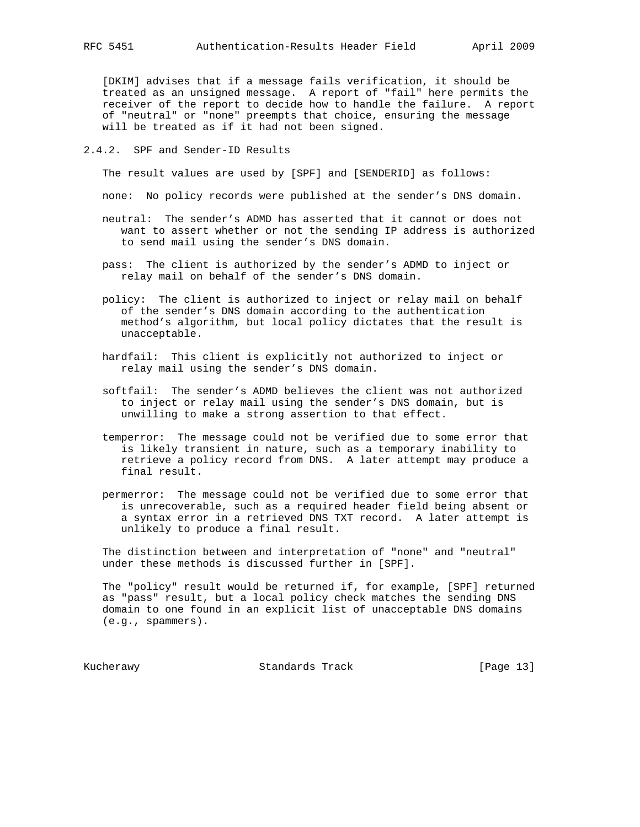[DKIM] advises that if a message fails verification, it should be treated as an unsigned message. A report of "fail" here permits the receiver of the report to decide how to handle the failure. A report of "neutral" or "none" preempts that choice, ensuring the message will be treated as if it had not been signed.

#### 2.4.2. SPF and Sender-ID Results

The result values are used by [SPF] and [SENDERID] as follows:

none: No policy records were published at the sender's DNS domain.

- neutral: The sender's ADMD has asserted that it cannot or does not want to assert whether or not the sending IP address is authorized to send mail using the sender's DNS domain.
- pass: The client is authorized by the sender's ADMD to inject or relay mail on behalf of the sender's DNS domain.
- policy: The client is authorized to inject or relay mail on behalf of the sender's DNS domain according to the authentication method's algorithm, but local policy dictates that the result is unacceptable.
- hardfail: This client is explicitly not authorized to inject or relay mail using the sender's DNS domain.
- softfail: The sender's ADMD believes the client was not authorized to inject or relay mail using the sender's DNS domain, but is unwilling to make a strong assertion to that effect.
- temperror: The message could not be verified due to some error that is likely transient in nature, such as a temporary inability to retrieve a policy record from DNS. A later attempt may produce a final result.
- permerror: The message could not be verified due to some error that is unrecoverable, such as a required header field being absent or a syntax error in a retrieved DNS TXT record. A later attempt is unlikely to produce a final result.

 The distinction between and interpretation of "none" and "neutral" under these methods is discussed further in [SPF].

 The "policy" result would be returned if, for example, [SPF] returned as "pass" result, but a local policy check matches the sending DNS domain to one found in an explicit list of unacceptable DNS domains (e.g., spammers).

Kucherawy Standards Track [Page 13]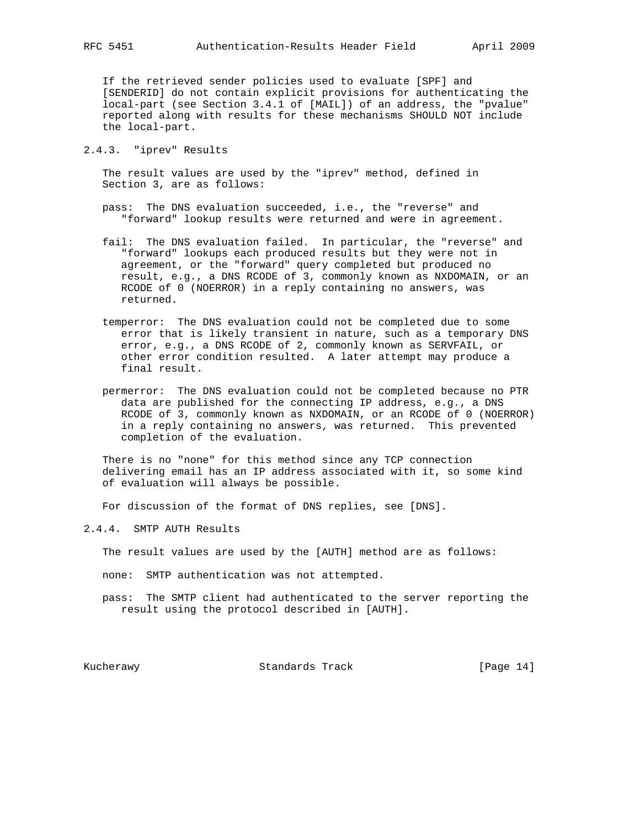If the retrieved sender policies used to evaluate [SPF] and [SENDERID] do not contain explicit provisions for authenticating the local-part (see Section 3.4.1 of [MAIL]) of an address, the "pvalue" reported along with results for these mechanisms SHOULD NOT include the local-part.

2.4.3. "iprev" Results

 The result values are used by the "iprev" method, defined in Section 3, are as follows:

- pass: The DNS evaluation succeeded, i.e., the "reverse" and "forward" lookup results were returned and were in agreement.
- fail: The DNS evaluation failed. In particular, the "reverse" and "forward" lookups each produced results but they were not in agreement, or the "forward" query completed but produced no result, e.g., a DNS RCODE of 3, commonly known as NXDOMAIN, or an RCODE of 0 (NOERROR) in a reply containing no answers, was returned.
- temperror: The DNS evaluation could not be completed due to some error that is likely transient in nature, such as a temporary DNS error, e.g., a DNS RCODE of 2, commonly known as SERVFAIL, or other error condition resulted. A later attempt may produce a final result.
- permerror: The DNS evaluation could not be completed because no PTR data are published for the connecting IP address, e.g., a DNS RCODE of 3, commonly known as NXDOMAIN, or an RCODE of 0 (NOERROR) in a reply containing no answers, was returned. This prevented completion of the evaluation.

 There is no "none" for this method since any TCP connection delivering email has an IP address associated with it, so some kind of evaluation will always be possible.

For discussion of the format of DNS replies, see [DNS].

2.4.4. SMTP AUTH Results

The result values are used by the [AUTH] method are as follows:

- none: SMTP authentication was not attempted.
- pass: The SMTP client had authenticated to the server reporting the result using the protocol described in [AUTH].

Kucherawy Standards Track [Page 14]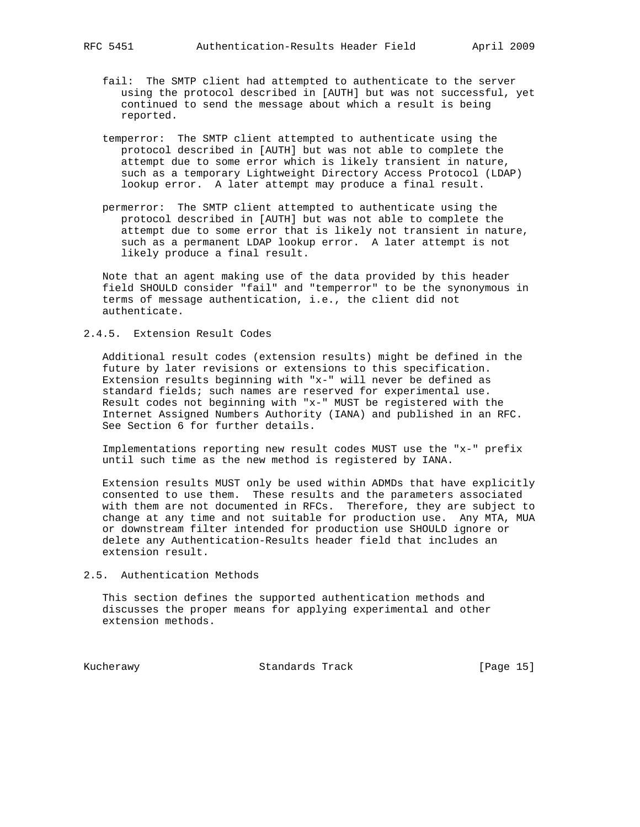- fail: The SMTP client had attempted to authenticate to the server using the protocol described in [AUTH] but was not successful, yet continued to send the message about which a result is being reported.
- temperror: The SMTP client attempted to authenticate using the protocol described in [AUTH] but was not able to complete the attempt due to some error which is likely transient in nature, such as a temporary Lightweight Directory Access Protocol (LDAP) lookup error. A later attempt may produce a final result.
- permerror: The SMTP client attempted to authenticate using the protocol described in [AUTH] but was not able to complete the attempt due to some error that is likely not transient in nature, such as a permanent LDAP lookup error. A later attempt is not likely produce a final result.

 Note that an agent making use of the data provided by this header field SHOULD consider "fail" and "temperror" to be the synonymous in terms of message authentication, i.e., the client did not authenticate.

#### 2.4.5. Extension Result Codes

 Additional result codes (extension results) might be defined in the future by later revisions or extensions to this specification. Extension results beginning with "x-" will never be defined as standard fields; such names are reserved for experimental use. Result codes not beginning with "x-" MUST be registered with the Internet Assigned Numbers Authority (IANA) and published in an RFC. See Section 6 for further details.

 Implementations reporting new result codes MUST use the "x-" prefix until such time as the new method is registered by IANA.

 Extension results MUST only be used within ADMDs that have explicitly consented to use them. These results and the parameters associated with them are not documented in RFCs. Therefore, they are subject to change at any time and not suitable for production use. Any MTA, MUA or downstream filter intended for production use SHOULD ignore or delete any Authentication-Results header field that includes an extension result.

#### 2.5. Authentication Methods

 This section defines the supported authentication methods and discusses the proper means for applying experimental and other extension methods.

Kucherawy Standards Track [Page 15]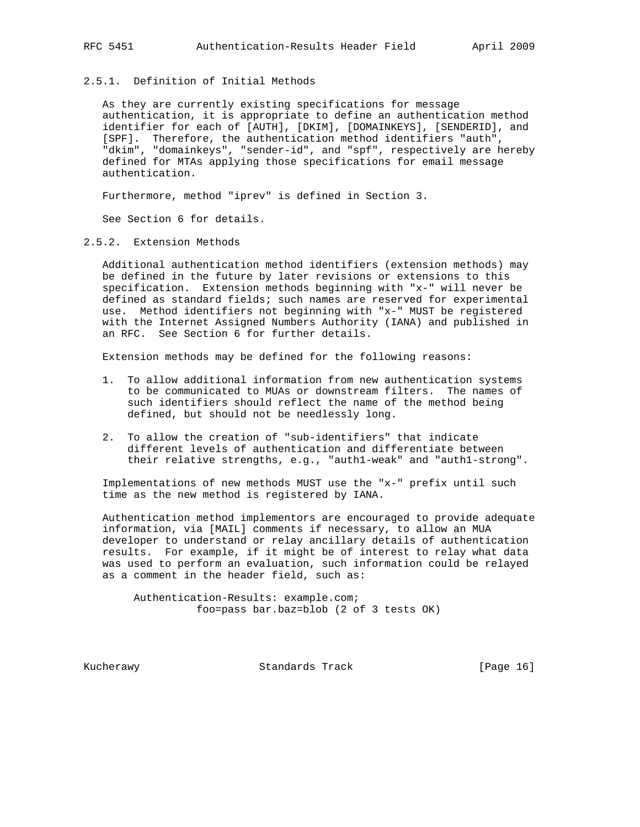### 2.5.1. Definition of Initial Methods

 As they are currently existing specifications for message authentication, it is appropriate to define an authentication method identifier for each of [AUTH], [DKIM], [DOMAINKEYS], [SENDERID], and [SPF]. Therefore, the authentication method identifiers "auth", "dkim", "domainkeys", "sender-id", and "spf", respectively are hereby defined for MTAs applying those specifications for email message authentication.

Furthermore, method "iprev" is defined in Section 3.

See Section 6 for details.

### 2.5.2. Extension Methods

 Additional authentication method identifiers (extension methods) may be defined in the future by later revisions or extensions to this specification. Extension methods beginning with "x-" will never be defined as standard fields; such names are reserved for experimental use. Method identifiers not beginning with "x-" MUST be registered with the Internet Assigned Numbers Authority (IANA) and published in an RFC. See Section 6 for further details.

Extension methods may be defined for the following reasons:

- 1. To allow additional information from new authentication systems to be communicated to MUAs or downstream filters. The names of such identifiers should reflect the name of the method being defined, but should not be needlessly long.
- 2. To allow the creation of "sub-identifiers" that indicate different levels of authentication and differentiate between their relative strengths, e.g., "auth1-weak" and "auth1-strong".

 Implementations of new methods MUST use the "x-" prefix until such time as the new method is registered by IANA.

 Authentication method implementors are encouraged to provide adequate information, via [MAIL] comments if necessary, to allow an MUA developer to understand or relay ancillary details of authentication results. For example, if it might be of interest to relay what data was used to perform an evaluation, such information could be relayed as a comment in the header field, such as:

 Authentication-Results: example.com; foo=pass bar.baz=blob (2 of 3 tests OK)

Kucherawy Standards Track [Page 16]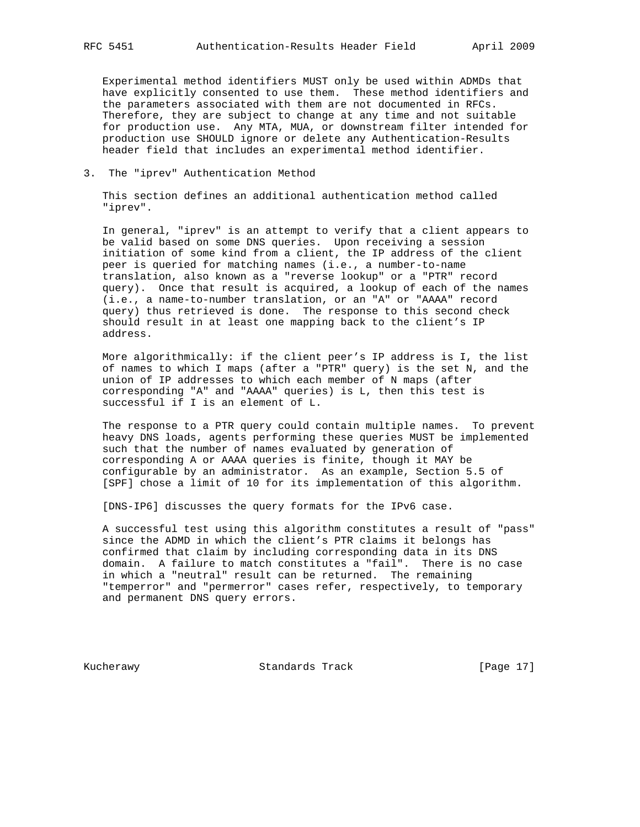Experimental method identifiers MUST only be used within ADMDs that have explicitly consented to use them. These method identifiers and the parameters associated with them are not documented in RFCs. Therefore, they are subject to change at any time and not suitable for production use. Any MTA, MUA, or downstream filter intended for production use SHOULD ignore or delete any Authentication-Results header field that includes an experimental method identifier.

3. The "iprev" Authentication Method

 This section defines an additional authentication method called "iprev".

 In general, "iprev" is an attempt to verify that a client appears to be valid based on some DNS queries. Upon receiving a session initiation of some kind from a client, the IP address of the client peer is queried for matching names (i.e., a number-to-name translation, also known as a "reverse lookup" or a "PTR" record query). Once that result is acquired, a lookup of each of the names (i.e., a name-to-number translation, or an "A" or "AAAA" record query) thus retrieved is done. The response to this second check should result in at least one mapping back to the client's IP address.

 More algorithmically: if the client peer's IP address is I, the list of names to which I maps (after a "PTR" query) is the set N, and the union of IP addresses to which each member of N maps (after corresponding "A" and "AAAA" queries) is L, then this test is successful if I is an element of L.

 The response to a PTR query could contain multiple names. To prevent heavy DNS loads, agents performing these queries MUST be implemented such that the number of names evaluated by generation of corresponding A or AAAA queries is finite, though it MAY be configurable by an administrator. As an example, Section 5.5 of [SPF] chose a limit of 10 for its implementation of this algorithm.

[DNS-IP6] discusses the query formats for the IPv6 case.

 A successful test using this algorithm constitutes a result of "pass" since the ADMD in which the client's PTR claims it belongs has confirmed that claim by including corresponding data in its DNS domain. A failure to match constitutes a "fail". There is no case in which a "neutral" result can be returned. The remaining "temperror" and "permerror" cases refer, respectively, to temporary and permanent DNS query errors.

Kucherawy Standards Track [Page 17]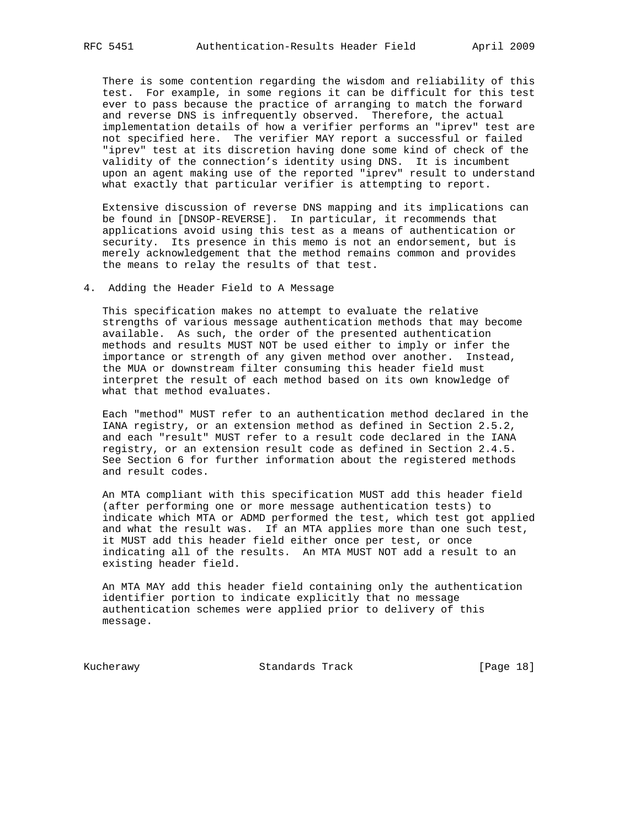There is some contention regarding the wisdom and reliability of this test. For example, in some regions it can be difficult for this test ever to pass because the practice of arranging to match the forward and reverse DNS is infrequently observed. Therefore, the actual implementation details of how a verifier performs an "iprev" test are not specified here. The verifier MAY report a successful or failed "iprev" test at its discretion having done some kind of check of the validity of the connection's identity using DNS. It is incumbent upon an agent making use of the reported "iprev" result to understand what exactly that particular verifier is attempting to report.

 Extensive discussion of reverse DNS mapping and its implications can be found in [DNSOP-REVERSE]. In particular, it recommends that applications avoid using this test as a means of authentication or security. Its presence in this memo is not an endorsement, but is merely acknowledgement that the method remains common and provides the means to relay the results of that test.

4. Adding the Header Field to A Message

 This specification makes no attempt to evaluate the relative strengths of various message authentication methods that may become available. As such, the order of the presented authentication methods and results MUST NOT be used either to imply or infer the importance or strength of any given method over another. Instead, the MUA or downstream filter consuming this header field must interpret the result of each method based on its own knowledge of what that method evaluates.

 Each "method" MUST refer to an authentication method declared in the IANA registry, or an extension method as defined in Section 2.5.2, and each "result" MUST refer to a result code declared in the IANA registry, or an extension result code as defined in Section 2.4.5. See Section 6 for further information about the registered methods and result codes.

 An MTA compliant with this specification MUST add this header field (after performing one or more message authentication tests) to indicate which MTA or ADMD performed the test, which test got applied and what the result was. If an MTA applies more than one such test, it MUST add this header field either once per test, or once indicating all of the results. An MTA MUST NOT add a result to an existing header field.

 An MTA MAY add this header field containing only the authentication identifier portion to indicate explicitly that no message authentication schemes were applied prior to delivery of this message.

Kucherawy Standards Track [Page 18]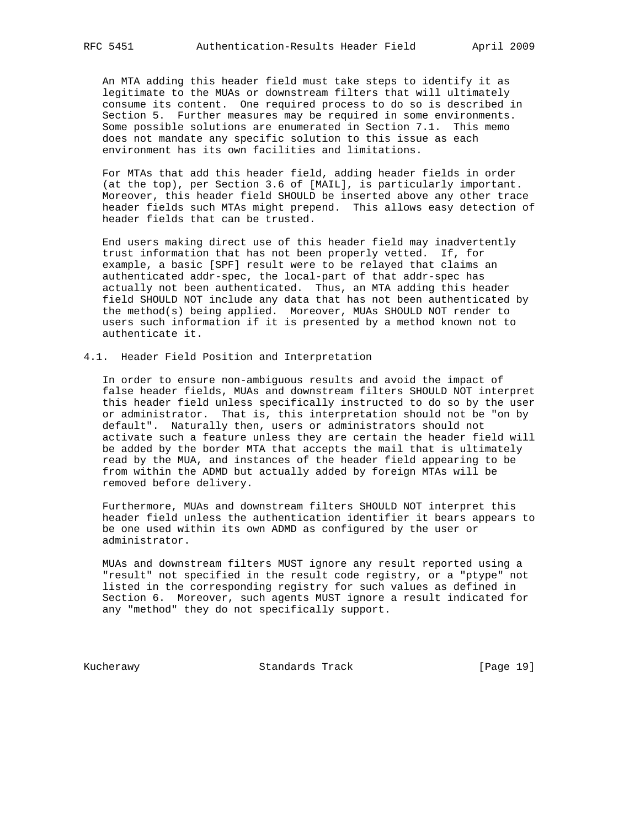An MTA adding this header field must take steps to identify it as legitimate to the MUAs or downstream filters that will ultimately consume its content. One required process to do so is described in Section 5. Further measures may be required in some environments. Some possible solutions are enumerated in Section 7.1. This memo does not mandate any specific solution to this issue as each environment has its own facilities and limitations.

 For MTAs that add this header field, adding header fields in order (at the top), per Section 3.6 of [MAIL], is particularly important. Moreover, this header field SHOULD be inserted above any other trace header fields such MTAs might prepend. This allows easy detection of header fields that can be trusted.

 End users making direct use of this header field may inadvertently trust information that has not been properly vetted. If, for example, a basic [SPF] result were to be relayed that claims an authenticated addr-spec, the local-part of that addr-spec has actually not been authenticated. Thus, an MTA adding this header field SHOULD NOT include any data that has not been authenticated by the method(s) being applied. Moreover, MUAs SHOULD NOT render to users such information if it is presented by a method known not to authenticate it.

### 4.1. Header Field Position and Interpretation

 In order to ensure non-ambiguous results and avoid the impact of false header fields, MUAs and downstream filters SHOULD NOT interpret this header field unless specifically instructed to do so by the user or administrator. That is, this interpretation should not be "on by default". Naturally then, users or administrators should not activate such a feature unless they are certain the header field will be added by the border MTA that accepts the mail that is ultimately read by the MUA, and instances of the header field appearing to be from within the ADMD but actually added by foreign MTAs will be removed before delivery.

 Furthermore, MUAs and downstream filters SHOULD NOT interpret this header field unless the authentication identifier it bears appears to be one used within its own ADMD as configured by the user or administrator.

 MUAs and downstream filters MUST ignore any result reported using a "result" not specified in the result code registry, or a "ptype" not listed in the corresponding registry for such values as defined in Section 6. Moreover, such agents MUST ignore a result indicated for any "method" they do not specifically support.

Kucherawy Standards Track [Page 19]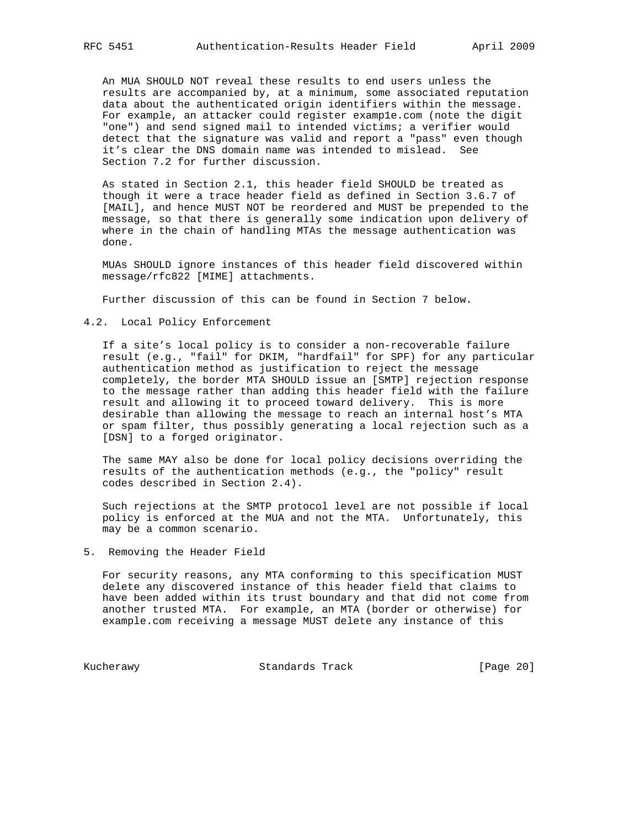An MUA SHOULD NOT reveal these results to end users unless the results are accompanied by, at a minimum, some associated reputation data about the authenticated origin identifiers within the message. For example, an attacker could register examp1e.com (note the digit "one") and send signed mail to intended victims; a verifier would detect that the signature was valid and report a "pass" even though it's clear the DNS domain name was intended to mislead. See Section 7.2 for further discussion.

 As stated in Section 2.1, this header field SHOULD be treated as though it were a trace header field as defined in Section 3.6.7 of [MAIL], and hence MUST NOT be reordered and MUST be prepended to the message, so that there is generally some indication upon delivery of where in the chain of handling MTAs the message authentication was done.

 MUAs SHOULD ignore instances of this header field discovered within message/rfc822 [MIME] attachments.

Further discussion of this can be found in Section 7 below.

4.2. Local Policy Enforcement

 If a site's local policy is to consider a non-recoverable failure result (e.g., "fail" for DKIM, "hardfail" for SPF) for any particular authentication method as justification to reject the message completely, the border MTA SHOULD issue an [SMTP] rejection response to the message rather than adding this header field with the failure result and allowing it to proceed toward delivery. This is more desirable than allowing the message to reach an internal host's MTA or spam filter, thus possibly generating a local rejection such as a [DSN] to a forged originator.

 The same MAY also be done for local policy decisions overriding the results of the authentication methods (e.g., the "policy" result codes described in Section 2.4).

 Such rejections at the SMTP protocol level are not possible if local policy is enforced at the MUA and not the MTA. Unfortunately, this may be a common scenario.

5. Removing the Header Field

 For security reasons, any MTA conforming to this specification MUST delete any discovered instance of this header field that claims to have been added within its trust boundary and that did not come from another trusted MTA. For example, an MTA (border or otherwise) for example.com receiving a message MUST delete any instance of this

Kucherawy Standards Track [Page 20]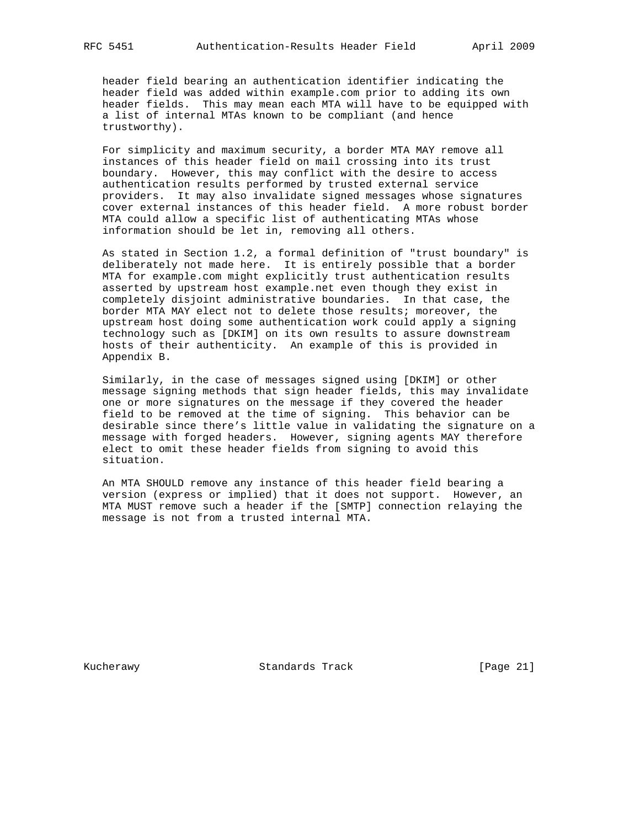header field bearing an authentication identifier indicating the header field was added within example.com prior to adding its own header fields. This may mean each MTA will have to be equipped with a list of internal MTAs known to be compliant (and hence trustworthy).

 For simplicity and maximum security, a border MTA MAY remove all instances of this header field on mail crossing into its trust boundary. However, this may conflict with the desire to access authentication results performed by trusted external service providers. It may also invalidate signed messages whose signatures cover external instances of this header field. A more robust border MTA could allow a specific list of authenticating MTAs whose information should be let in, removing all others.

 As stated in Section 1.2, a formal definition of "trust boundary" is deliberately not made here. It is entirely possible that a border MTA for example.com might explicitly trust authentication results asserted by upstream host example.net even though they exist in completely disjoint administrative boundaries. In that case, the border MTA MAY elect not to delete those results; moreover, the upstream host doing some authentication work could apply a signing technology such as [DKIM] on its own results to assure downstream hosts of their authenticity. An example of this is provided in Appendix B.

 Similarly, in the case of messages signed using [DKIM] or other message signing methods that sign header fields, this may invalidate one or more signatures on the message if they covered the header field to be removed at the time of signing. This behavior can be desirable since there's little value in validating the signature on a message with forged headers. However, signing agents MAY therefore elect to omit these header fields from signing to avoid this situation.

 An MTA SHOULD remove any instance of this header field bearing a version (express or implied) that it does not support. However, an MTA MUST remove such a header if the [SMTP] connection relaying the message is not from a trusted internal MTA.

Kucherawy Standards Track [Page 21]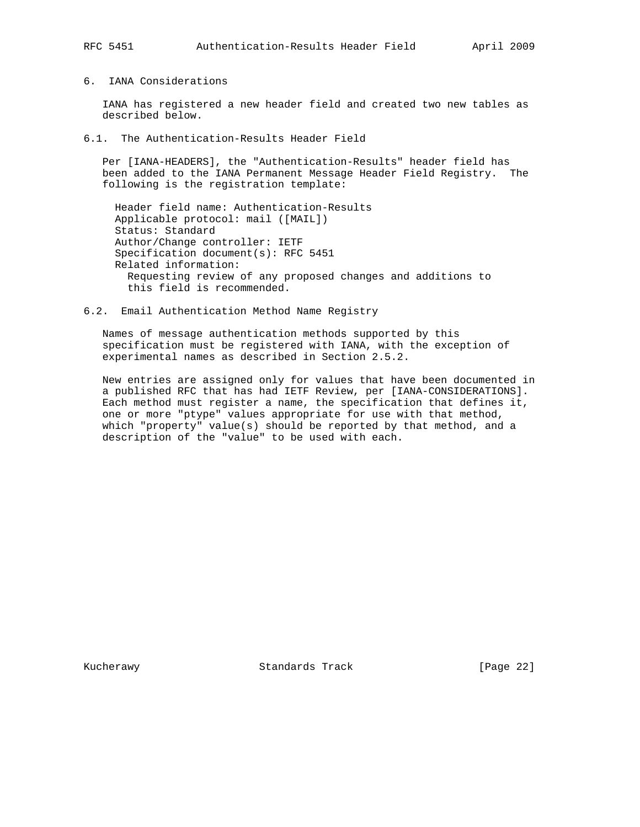### 6. IANA Considerations

 IANA has registered a new header field and created two new tables as described below.

6.1. The Authentication-Results Header Field

 Per [IANA-HEADERS], the "Authentication-Results" header field has been added to the IANA Permanent Message Header Field Registry. The following is the registration template:

 Header field name: Authentication-Results Applicable protocol: mail ([MAIL]) Status: Standard Author/Change controller: IETF Specification document(s): RFC 5451 Related information: Requesting review of any proposed changes and additions to this field is recommended.

6.2. Email Authentication Method Name Registry

 Names of message authentication methods supported by this specification must be registered with IANA, with the exception of experimental names as described in Section 2.5.2.

 New entries are assigned only for values that have been documented in a published RFC that has had IETF Review, per [IANA-CONSIDERATIONS]. Each method must register a name, the specification that defines it, one or more "ptype" values appropriate for use with that method, which "property" value(s) should be reported by that method, and a description of the "value" to be used with each.

Kucherawy **Standards Track** [Page 22]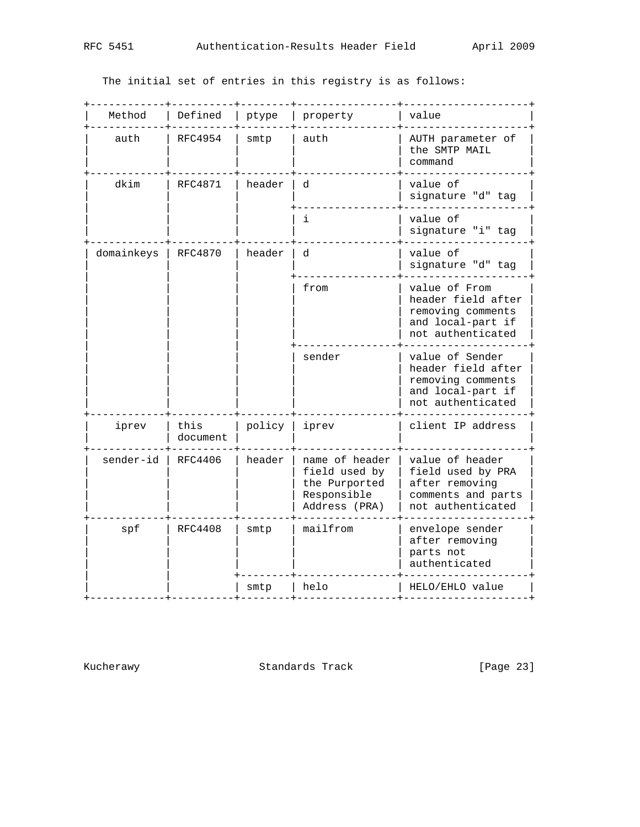The initial set of entries in this registry is as follows:

| Method     | Defined          | ptype  | property                                                                         | value                                                                                                |
|------------|------------------|--------|----------------------------------------------------------------------------------|------------------------------------------------------------------------------------------------------|
| auth       | RFC4954          | smtp   | auth                                                                             | AUTH parameter of<br>the SMTP MAIL<br>command                                                        |
| dkim       | <b>RFC4871</b>   | header | d                                                                                | value of<br>signature "d" tag                                                                        |
|            |                  |        | i                                                                                | value of<br>signature "i" tag                                                                        |
| domainkeys | RFC4870          | header | d                                                                                | value of<br>signature "d" tag                                                                        |
|            |                  |        | from                                                                             | value of From<br>header field after<br>removing comments<br>and local-part if<br>not authenticated   |
|            |                  |        | sender                                                                           | value of Sender<br>header field after<br>removing comments<br>and local-part if<br>not authenticated |
| iprev      | this<br>document | policy | iprev                                                                            | client IP address                                                                                    |
| sender-id  | RFC4406          | header | name of header<br>field used by<br>the Purported<br>Responsible<br>Address (PRA) | value of header<br>field used by PRA<br>after removing<br>comments and parts<br>not authenticated    |
| spf        | <b>RFC4408</b>   | smtp   | mailfrom                                                                         | envelope sender<br>after removing<br>parts not<br>authenticated                                      |
|            |                  | smtp   | helo                                                                             | HELO/EHLO value                                                                                      |

Kucherawy **Standards Track** [Page 23]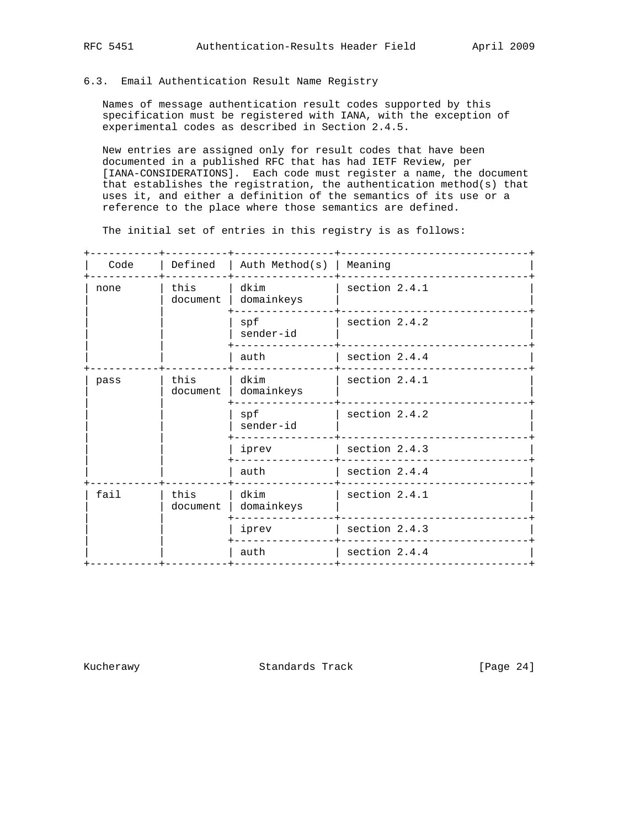### 6.3. Email Authentication Result Name Registry

 Names of message authentication result codes supported by this specification must be registered with IANA, with the exception of experimental codes as described in Section 2.4.5.

 New entries are assigned only for result codes that have been documented in a published RFC that has had IETF Review, per [IANA-CONSIDERATIONS]. Each code must register a name, the document that establishes the registration, the authentication method(s) that uses it, and either a definition of the semantics of its use or a reference to the place where those semantics are defined.

The initial set of entries in this registry is as follows:

| Code | Defined          | Auth Method(s)   Meaning |                 |
|------|------------------|--------------------------|-----------------|
| none | this<br>document | dkim<br>domainkeys       | section 2.4.1   |
|      |                  | spf<br>sender-id         | section 2.4.2   |
|      |                  | auth                     | section 2.4.4   |
| pass | this<br>document | dkim<br>domainkeys       | section 2.4.1   |
|      |                  | spf<br>sender-id         | section 2.4.2   |
|      |                  | iprev                    | section 2.4.3   |
|      |                  | auth                     | section $2.4.4$ |
| fail | this<br>document | dkim<br>domainkeys       | section 2.4.1   |
|      |                  | iprev                    | section 2.4.3   |
|      |                  | auth                     | section 2.4.4   |
|      |                  |                          |                 |

Kucherawy Standards Track [Page 24]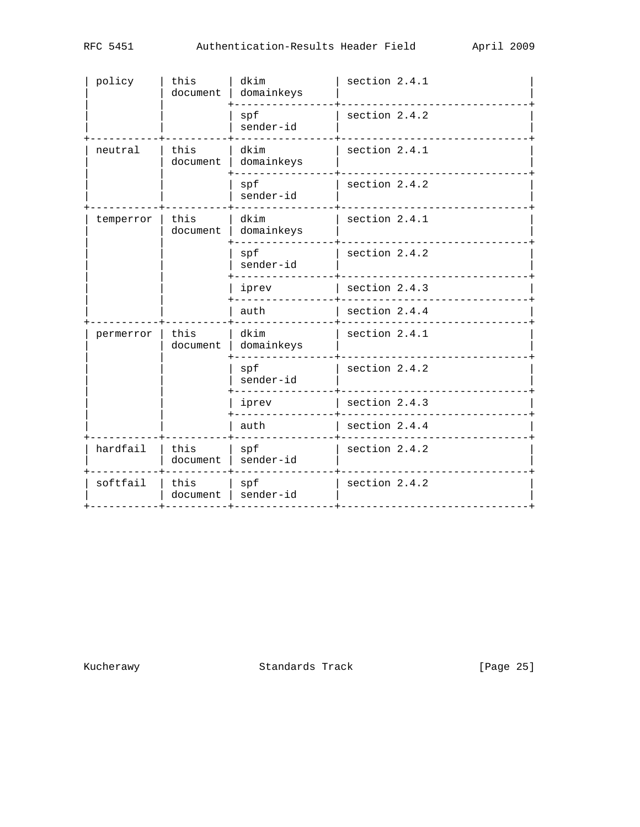| spf<br>section 2.4.2<br>sender-id<br>this<br>section 2.4.1<br>dkim<br>neutral<br>document<br>domainkeys<br>section 2.4.2<br>spf<br>sender-id<br>section 2.4.1<br>dkim<br>temperror<br>this<br>document<br>domainkeys<br>section 2.4.2<br>spf<br>sender-id<br>section 2.4.3<br>iprev<br>section 2.4.4<br>auth<br>this<br>dkim<br>section 2.4.1<br>permerror<br>domainkeys<br>document<br>spf<br>section 2.4.2<br>sender-id<br>section 2.4.3<br>iprev<br>auth<br>section 2.4.4<br>hardfail<br>this<br>spf<br>section 2.4.2<br>sender-id<br>document<br>softfail<br>spf<br>section 2.4.2<br>this<br>sender-id<br>document | policy | this<br>document | dkim<br>domainkeys | section 2.4.1 |
|------------------------------------------------------------------------------------------------------------------------------------------------------------------------------------------------------------------------------------------------------------------------------------------------------------------------------------------------------------------------------------------------------------------------------------------------------------------------------------------------------------------------------------------------------------------------------------------------------------------------|--------|------------------|--------------------|---------------|
|                                                                                                                                                                                                                                                                                                                                                                                                                                                                                                                                                                                                                        |        |                  |                    |               |
|                                                                                                                                                                                                                                                                                                                                                                                                                                                                                                                                                                                                                        |        |                  |                    |               |
|                                                                                                                                                                                                                                                                                                                                                                                                                                                                                                                                                                                                                        |        |                  |                    |               |
|                                                                                                                                                                                                                                                                                                                                                                                                                                                                                                                                                                                                                        |        |                  |                    |               |
|                                                                                                                                                                                                                                                                                                                                                                                                                                                                                                                                                                                                                        |        |                  |                    |               |
|                                                                                                                                                                                                                                                                                                                                                                                                                                                                                                                                                                                                                        |        |                  |                    |               |
|                                                                                                                                                                                                                                                                                                                                                                                                                                                                                                                                                                                                                        |        |                  |                    |               |
|                                                                                                                                                                                                                                                                                                                                                                                                                                                                                                                                                                                                                        |        |                  |                    |               |
|                                                                                                                                                                                                                                                                                                                                                                                                                                                                                                                                                                                                                        |        |                  |                    |               |
|                                                                                                                                                                                                                                                                                                                                                                                                                                                                                                                                                                                                                        |        |                  |                    |               |
|                                                                                                                                                                                                                                                                                                                                                                                                                                                                                                                                                                                                                        |        |                  |                    |               |
|                                                                                                                                                                                                                                                                                                                                                                                                                                                                                                                                                                                                                        |        |                  |                    |               |
|                                                                                                                                                                                                                                                                                                                                                                                                                                                                                                                                                                                                                        |        |                  |                    |               |

Kucherawy **Standards Track** [Page 25]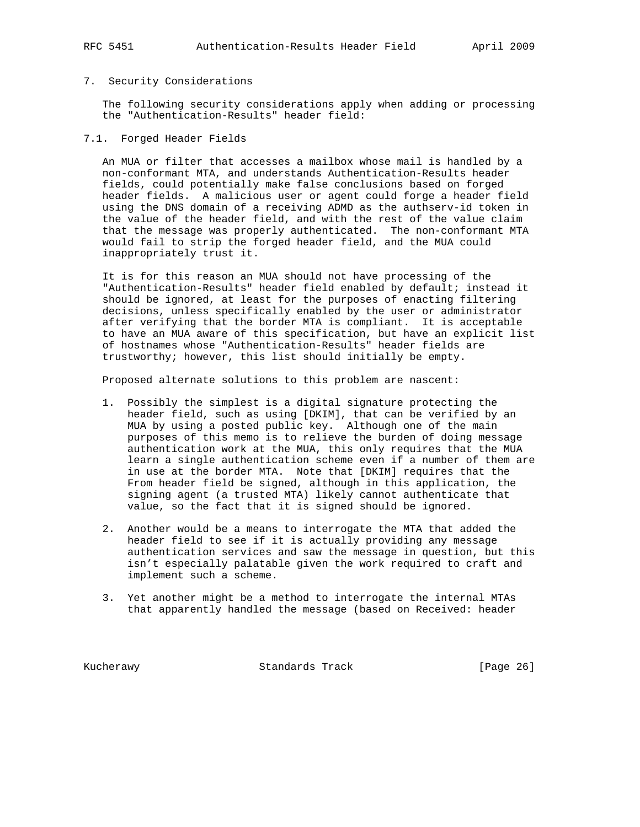### RFC 5451 Authentication-Results Header Field April 2009

#### 7. Security Considerations

 The following security considerations apply when adding or processing the "Authentication-Results" header field:

#### 7.1. Forged Header Fields

 An MUA or filter that accesses a mailbox whose mail is handled by a non-conformant MTA, and understands Authentication-Results header fields, could potentially make false conclusions based on forged header fields. A malicious user or agent could forge a header field using the DNS domain of a receiving ADMD as the authserv-id token in the value of the header field, and with the rest of the value claim that the message was properly authenticated. The non-conformant MTA would fail to strip the forged header field, and the MUA could inappropriately trust it.

 It is for this reason an MUA should not have processing of the "Authentication-Results" header field enabled by default; instead it should be ignored, at least for the purposes of enacting filtering decisions, unless specifically enabled by the user or administrator after verifying that the border MTA is compliant. It is acceptable to have an MUA aware of this specification, but have an explicit list of hostnames whose "Authentication-Results" header fields are trustworthy; however, this list should initially be empty.

Proposed alternate solutions to this problem are nascent:

- 1. Possibly the simplest is a digital signature protecting the header field, such as using [DKIM], that can be verified by an MUA by using a posted public key. Although one of the main purposes of this memo is to relieve the burden of doing message authentication work at the MUA, this only requires that the MUA learn a single authentication scheme even if a number of them are in use at the border MTA. Note that [DKIM] requires that the From header field be signed, although in this application, the signing agent (a trusted MTA) likely cannot authenticate that value, so the fact that it is signed should be ignored.
- 2. Another would be a means to interrogate the MTA that added the header field to see if it is actually providing any message authentication services and saw the message in question, but this isn't especially palatable given the work required to craft and implement such a scheme.
- 3. Yet another might be a method to interrogate the internal MTAs that apparently handled the message (based on Received: header

Kucherawy Standards Track [Page 26]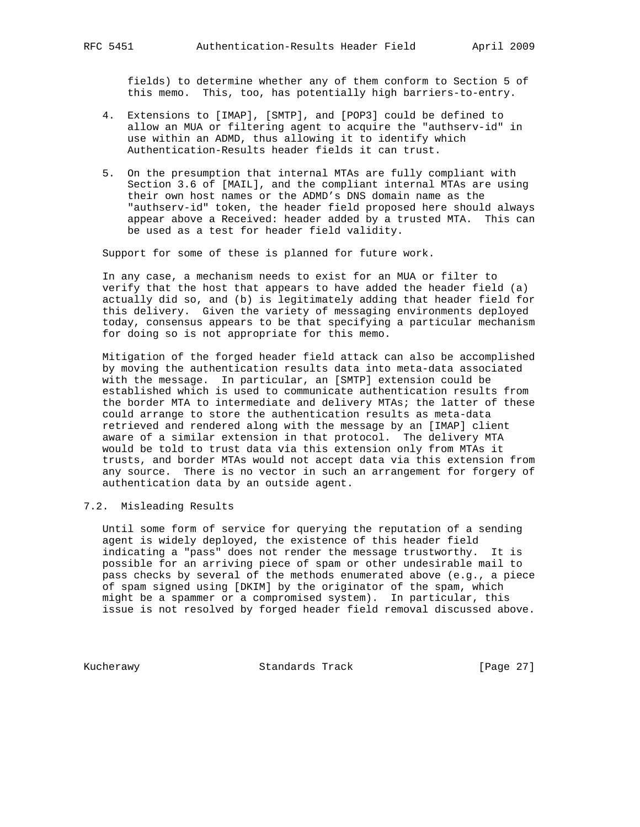fields) to determine whether any of them conform to Section 5 of this memo. This, too, has potentially high barriers-to-entry.

- 4. Extensions to [IMAP], [SMTP], and [POP3] could be defined to allow an MUA or filtering agent to acquire the "authserv-id" in use within an ADMD, thus allowing it to identify which Authentication-Results header fields it can trust.
- 5. On the presumption that internal MTAs are fully compliant with Section 3.6 of [MAIL], and the compliant internal MTAs are using their own host names or the ADMD's DNS domain name as the "authserv-id" token, the header field proposed here should always appear above a Received: header added by a trusted MTA. This can be used as a test for header field validity.

Support for some of these is planned for future work.

 In any case, a mechanism needs to exist for an MUA or filter to verify that the host that appears to have added the header field (a) actually did so, and (b) is legitimately adding that header field for this delivery. Given the variety of messaging environments deployed today, consensus appears to be that specifying a particular mechanism for doing so is not appropriate for this memo.

 Mitigation of the forged header field attack can also be accomplished by moving the authentication results data into meta-data associated with the message. In particular, an [SMTP] extension could be established which is used to communicate authentication results from the border MTA to intermediate and delivery MTAs; the latter of these could arrange to store the authentication results as meta-data retrieved and rendered along with the message by an [IMAP] client aware of a similar extension in that protocol. The delivery MTA would be told to trust data via this extension only from MTAs it trusts, and border MTAs would not accept data via this extension from any source. There is no vector in such an arrangement for forgery of authentication data by an outside agent.

### 7.2. Misleading Results

 Until some form of service for querying the reputation of a sending agent is widely deployed, the existence of this header field indicating a "pass" does not render the message trustworthy. It is possible for an arriving piece of spam or other undesirable mail to pass checks by several of the methods enumerated above (e.g., a piece of spam signed using [DKIM] by the originator of the spam, which might be a spammer or a compromised system). In particular, this issue is not resolved by forged header field removal discussed above.

Kucherawy Standards Track [Page 27]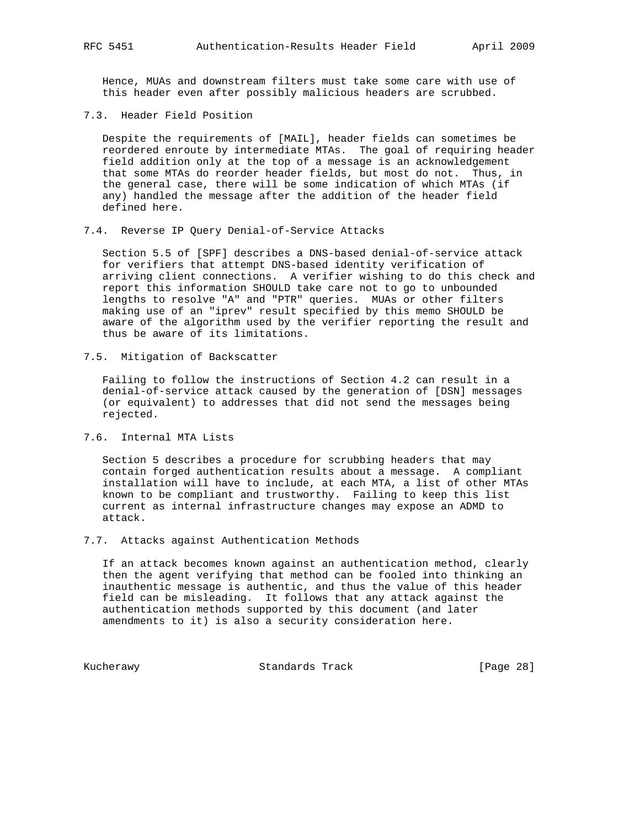Hence, MUAs and downstream filters must take some care with use of this header even after possibly malicious headers are scrubbed.

7.3. Header Field Position

 Despite the requirements of [MAIL], header fields can sometimes be reordered enroute by intermediate MTAs. The goal of requiring header field addition only at the top of a message is an acknowledgement that some MTAs do reorder header fields, but most do not. Thus, in the general case, there will be some indication of which MTAs (if any) handled the message after the addition of the header field defined here.

7.4. Reverse IP Query Denial-of-Service Attacks

 Section 5.5 of [SPF] describes a DNS-based denial-of-service attack for verifiers that attempt DNS-based identity verification of arriving client connections. A verifier wishing to do this check and report this information SHOULD take care not to go to unbounded lengths to resolve "A" and "PTR" queries. MUAs or other filters making use of an "iprev" result specified by this memo SHOULD be aware of the algorithm used by the verifier reporting the result and thus be aware of its limitations.

7.5. Mitigation of Backscatter

 Failing to follow the instructions of Section 4.2 can result in a denial-of-service attack caused by the generation of [DSN] messages (or equivalent) to addresses that did not send the messages being rejected.

7.6. Internal MTA Lists

 Section 5 describes a procedure for scrubbing headers that may contain forged authentication results about a message. A compliant installation will have to include, at each MTA, a list of other MTAs known to be compliant and trustworthy. Failing to keep this list current as internal infrastructure changes may expose an ADMD to attack.

7.7. Attacks against Authentication Methods

 If an attack becomes known against an authentication method, clearly then the agent verifying that method can be fooled into thinking an inauthentic message is authentic, and thus the value of this header field can be misleading. It follows that any attack against the authentication methods supported by this document (and later amendments to it) is also a security consideration here.

Kucherawy Standards Track [Page 28]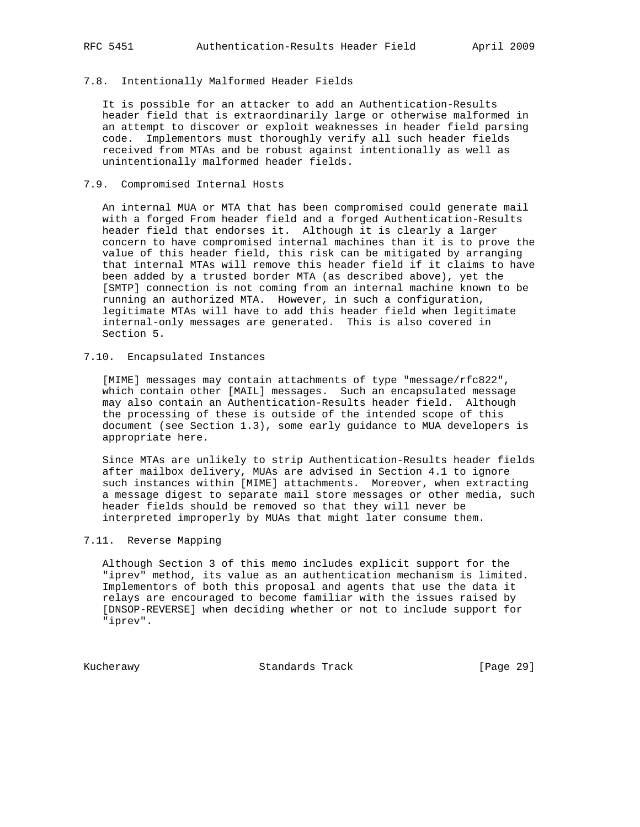#### 7.8. Intentionally Malformed Header Fields

 It is possible for an attacker to add an Authentication-Results header field that is extraordinarily large or otherwise malformed in an attempt to discover or exploit weaknesses in header field parsing code. Implementors must thoroughly verify all such header fields received from MTAs and be robust against intentionally as well as unintentionally malformed header fields.

#### 7.9. Compromised Internal Hosts

 An internal MUA or MTA that has been compromised could generate mail with a forged From header field and a forged Authentication-Results header field that endorses it. Although it is clearly a larger concern to have compromised internal machines than it is to prove the value of this header field, this risk can be mitigated by arranging that internal MTAs will remove this header field if it claims to have been added by a trusted border MTA (as described above), yet the [SMTP] connection is not coming from an internal machine known to be running an authorized MTA. However, in such a configuration, legitimate MTAs will have to add this header field when legitimate internal-only messages are generated. This is also covered in Section 5.

#### 7.10. Encapsulated Instances

 [MIME] messages may contain attachments of type "message/rfc822", which contain other [MAIL] messages. Such an encapsulated message may also contain an Authentication-Results header field. Although the processing of these is outside of the intended scope of this document (see Section 1.3), some early guidance to MUA developers is appropriate here.

 Since MTAs are unlikely to strip Authentication-Results header fields after mailbox delivery, MUAs are advised in Section 4.1 to ignore such instances within [MIME] attachments. Moreover, when extracting a message digest to separate mail store messages or other media, such header fields should be removed so that they will never be interpreted improperly by MUAs that might later consume them.

#### 7.11. Reverse Mapping

 Although Section 3 of this memo includes explicit support for the "iprev" method, its value as an authentication mechanism is limited. Implementors of both this proposal and agents that use the data it relays are encouraged to become familiar with the issues raised by [DNSOP-REVERSE] when deciding whether or not to include support for "iprev".

Kucherawy Standards Track [Page 29]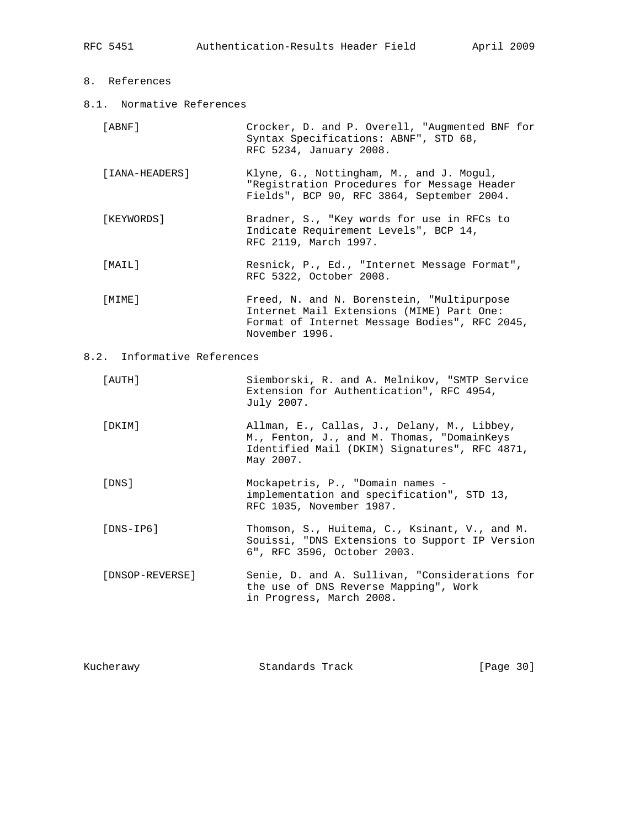### 8. References

8.1. Normative References

| 'ABNF 1 |                                       |  | Crocker, D. and P. Overell, "Augmented BNF for |  |
|---------|---------------------------------------|--|------------------------------------------------|--|
|         | Syntax Specifications: ABNF", STD 68, |  |                                                |  |
|         | RFC 5234, January 2008.               |  |                                                |  |

- [IANA-HEADERS] Klyne, G., Nottingham, M., and J. Mogul, "Registration Procedures for Message Header Fields", BCP 90, RFC 3864, September 2004.
- [KEYWORDS] Bradner, S., "Key words for use in RFCs to Indicate Requirement Levels", BCP 14, RFC 2119, March 1997.
- [MAIL] Resnick, P., Ed., "Internet Message Format", RFC 5322, October 2008.
- [MIME] Freed, N. and N. Borenstein, "Multipurpose Internet Mail Extensions (MIME) Part One: Format of Internet Message Bodies", RFC 2045, November 1996.

### 8.2. Informative References

| [ AUTH ]  | Siemborski, R. and A. Melnikov, "SMTP Service<br>Extension for Authentication", RFC 4954,<br>July 2007.                                                 |
|-----------|---------------------------------------------------------------------------------------------------------------------------------------------------------|
| [DKIM]    | Allman, E., Callas, J., Delany, M., Libbey,<br>M., Fenton, J., and M. Thomas, "DomainKeys<br>Identified Mail (DKIM) Signatures", RFC 4871,<br>May 2007. |
| [DNS]     | Mockapetris, P., "Domain names -<br>implementation and specification", STD 13,<br>RFC 1035, November 1987.                                              |
| [DNS-IP6] | Thomson, S., Huitema, C., Ksinant, V., and M.<br>Souissi, "DNS Extensions to Support IP Version<br>6", RFC 3596, October 2003.                          |

 [DNSOP-REVERSE] Senie, D. and A. Sullivan, "Considerations for the use of DNS Reverse Mapping", Work in Progress, March 2008.

| Kucherawy | Standards Track | [Page 30] |  |
|-----------|-----------------|-----------|--|
|           |                 |           |  |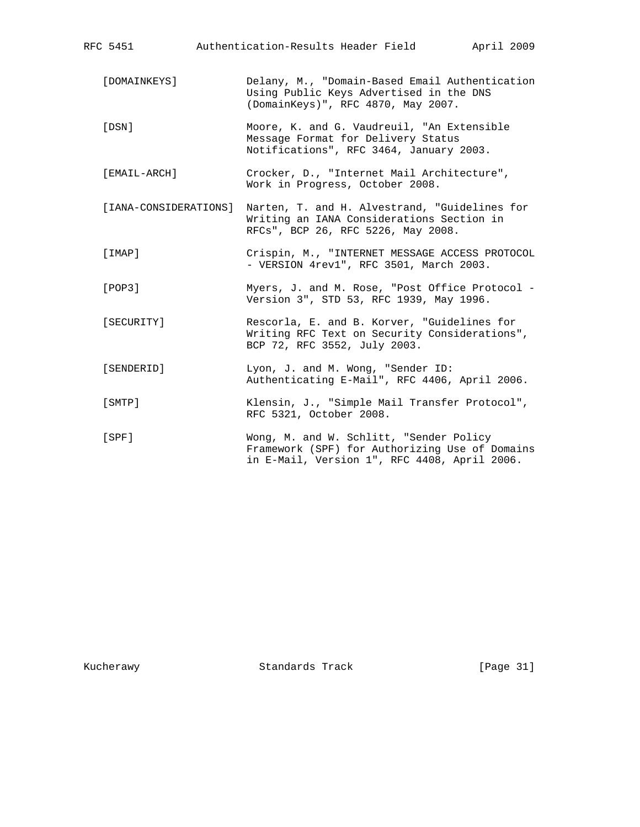| RFC 5451              | Authentication-Results Header Field<br>April 2009                                                                                         |
|-----------------------|-------------------------------------------------------------------------------------------------------------------------------------------|
| [DOMAINKEYS]          | Delany, M., "Domain-Based Email Authentication<br>Using Public Keys Advertised in the DNS<br>(DomainKeys)", RFC 4870, May 2007.           |
| [DSN]                 | Moore, K. and G. Vaudreuil, "An Extensible<br>Message Format for Delivery Status<br>Notifications", RFC 3464, January 2003.               |
| [EMAIL-ARCH]          | Crocker, D., "Internet Mail Architecture",<br>Work in Progress, October 2008.                                                             |
| [IANA-CONSIDERATIONS] | Narten, T. and H. Alvestrand, "Guidelines for<br>Writing an IANA Considerations Section in<br>RFCs", BCP 26, RFC 5226, May 2008.          |
| [IMAP]                | Crispin, M., "INTERNET MESSAGE ACCESS PROTOCOL<br>- VERSION 4rev1", RFC 3501, March 2003.                                                 |
| [POP3]                | Myers, J. and M. Rose, "Post Office Protocol -<br>Version 3", STD 53, RFC 1939, May 1996.                                                 |
| [SECURITY]            | Rescorla, E. and B. Korver, "Guidelines for<br>Writing RFC Text on Security Considerations",<br>BCP 72, RFC 3552, July 2003.              |
| [SENDERID]            | Lyon, J. and M. Wong, "Sender ID:<br>Authenticating E-Mail", RFC 4406, April 2006.                                                        |
| [SMTP]                | Klensin, J., "Simple Mail Transfer Protocol",<br>RFC 5321, October 2008.                                                                  |
| [SPF]                 | Wong, M. and W. Schlitt, "Sender Policy<br>Framework (SPF) for Authorizing Use of Domains<br>in E-Mail, Version 1", RFC 4408, April 2006. |

Kucherawy Standards Track [Page 31]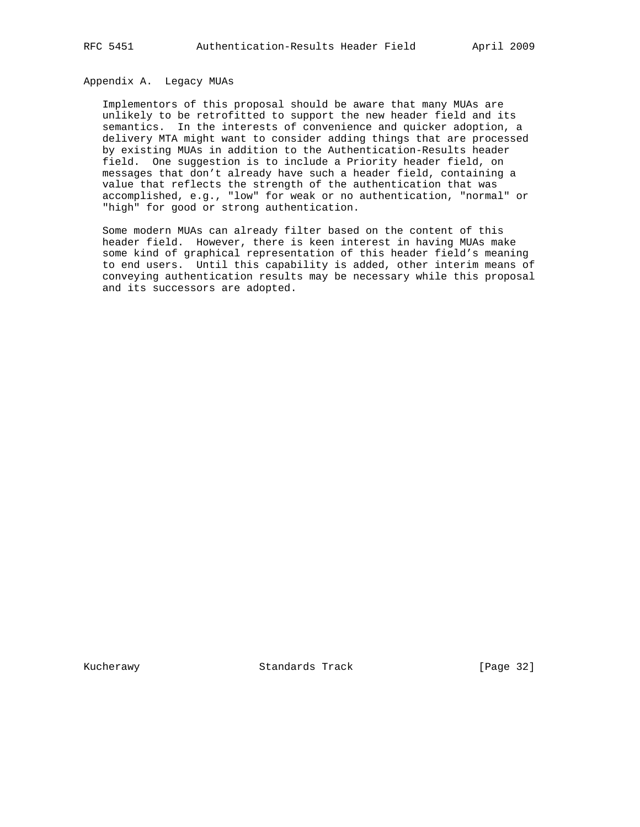# Appendix A. Legacy MUAs

 Implementors of this proposal should be aware that many MUAs are unlikely to be retrofitted to support the new header field and its semantics. In the interests of convenience and quicker adoption, a delivery MTA might want to consider adding things that are processed by existing MUAs in addition to the Authentication-Results header field. One suggestion is to include a Priority header field, on messages that don't already have such a header field, containing a value that reflects the strength of the authentication that was accomplished, e.g., "low" for weak or no authentication, "normal" or "high" for good or strong authentication.

 Some modern MUAs can already filter based on the content of this header field. However, there is keen interest in having MUAs make some kind of graphical representation of this header field's meaning to end users. Until this capability is added, other interim means of conveying authentication results may be necessary while this proposal and its successors are adopted.

Kucherawy Standards Track [Page 32]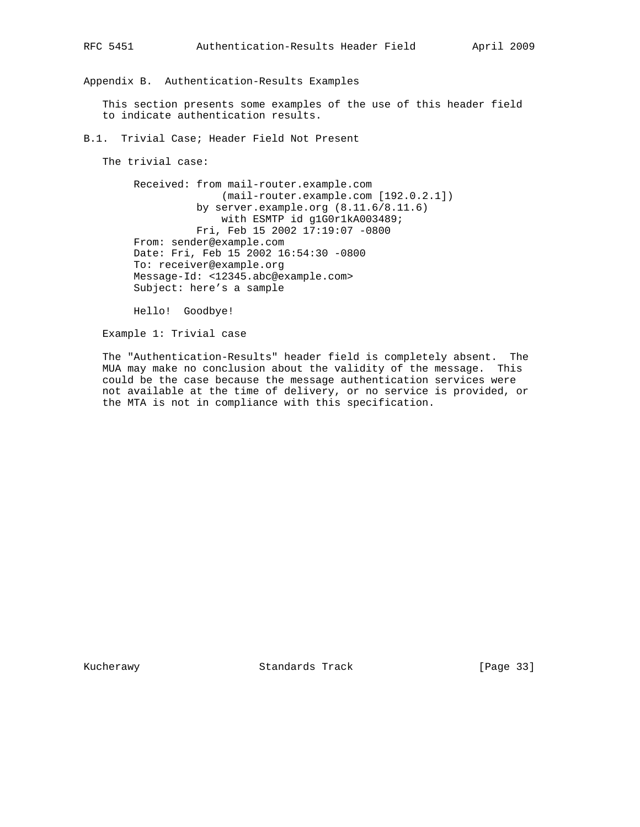Appendix B. Authentication-Results Examples

 This section presents some examples of the use of this header field to indicate authentication results.

B.1. Trivial Case; Header Field Not Present

The trivial case:

 Received: from mail-router.example.com (mail-router.example.com [192.0.2.1]) by server.example.org (8.11.6/8.11.6) with ESMTP id g1G0r1kA003489; Fri, Feb 15 2002 17:19:07 -0800 From: sender@example.com Date: Fri, Feb 15 2002 16:54:30 -0800 To: receiver@example.org Message-Id: <12345.abc@example.com> Subject: here's a sample

Hello! Goodbye!

Example 1: Trivial case

 The "Authentication-Results" header field is completely absent. The MUA may make no conclusion about the validity of the message. This could be the case because the message authentication services were not available at the time of delivery, or no service is provided, or the MTA is not in compliance with this specification.

Kucherawy **Standards Track** [Page 33]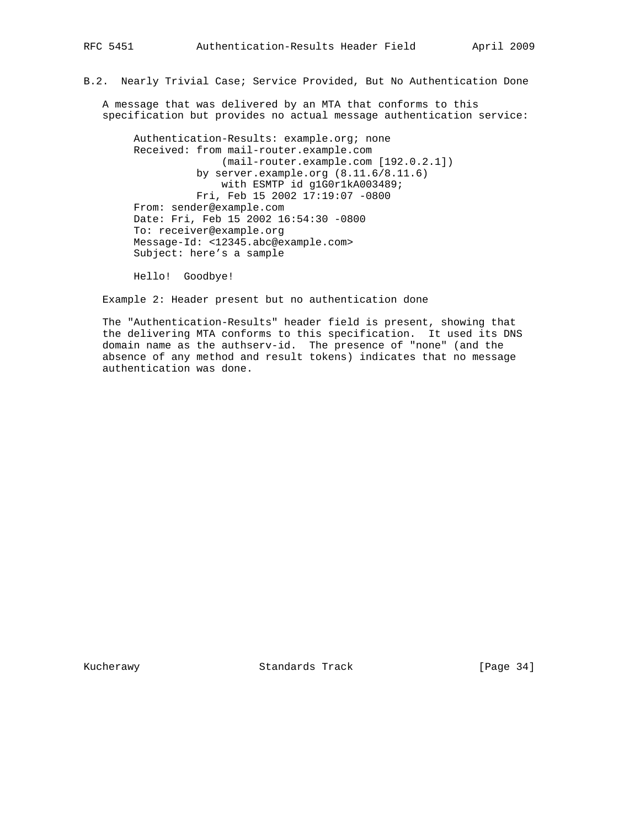### B.2. Nearly Trivial Case; Service Provided, But No Authentication Done

 A message that was delivered by an MTA that conforms to this specification but provides no actual message authentication service:

 Authentication-Results: example.org; none Received: from mail-router.example.com (mail-router.example.com [192.0.2.1]) by server.example.org (8.11.6/8.11.6) with ESMTP id g1G0r1kA003489; Fri, Feb 15 2002 17:19:07 -0800 From: sender@example.com Date: Fri, Feb 15 2002 16:54:30 -0800 To: receiver@example.org Message-Id: <12345.abc@example.com> Subject: here's a sample

Hello! Goodbye!

Example 2: Header present but no authentication done

 The "Authentication-Results" header field is present, showing that the delivering MTA conforms to this specification. It used its DNS domain name as the authserv-id. The presence of "none" (and the absence of any method and result tokens) indicates that no message authentication was done.

Kucherawy Standards Track [Page 34]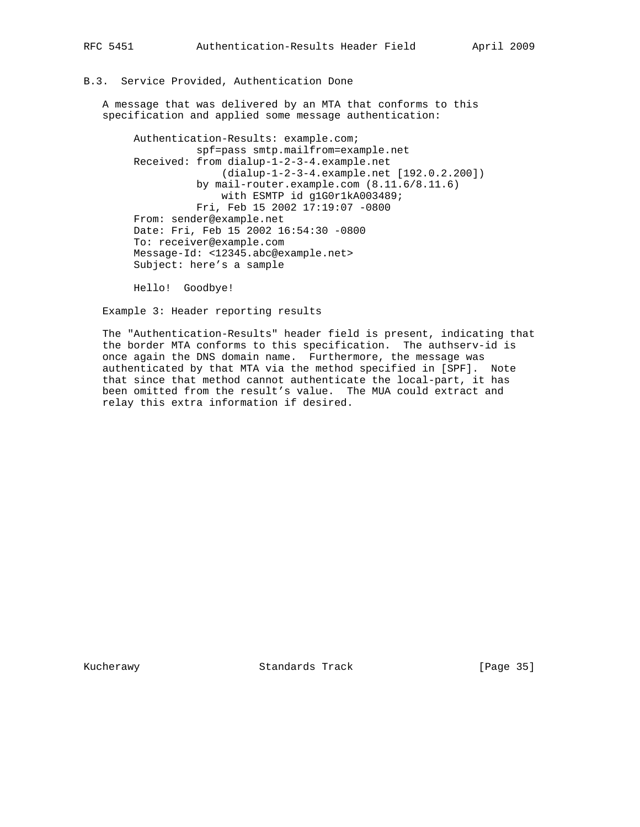### B.3. Service Provided, Authentication Done

 A message that was delivered by an MTA that conforms to this specification and applied some message authentication:

 Authentication-Results: example.com; spf=pass smtp.mailfrom=example.net Received: from dialup-1-2-3-4.example.net (dialup-1-2-3-4.example.net [192.0.2.200]) by mail-router.example.com (8.11.6/8.11.6) with ESMTP id g1G0r1kA003489; Fri, Feb 15 2002 17:19:07 -0800 From: sender@example.net Date: Fri, Feb 15 2002 16:54:30 -0800 To: receiver@example.com Message-Id: <12345.abc@example.net> Subject: here's a sample

Hello! Goodbye!

Example 3: Header reporting results

 The "Authentication-Results" header field is present, indicating that the border MTA conforms to this specification. The authserv-id is once again the DNS domain name. Furthermore, the message was authenticated by that MTA via the method specified in [SPF]. Note that since that method cannot authenticate the local-part, it has been omitted from the result's value. The MUA could extract and relay this extra information if desired.

Kucherawy **Standards Track** [Page 35]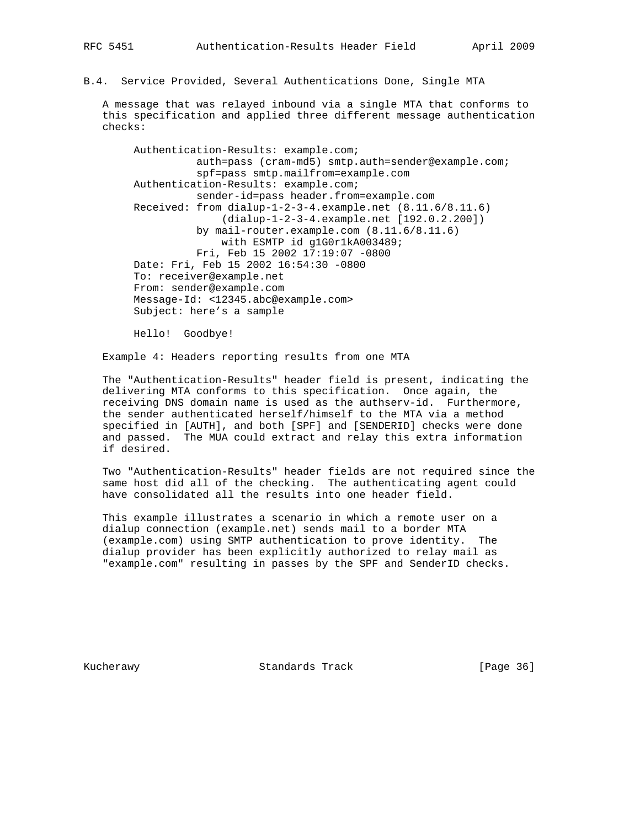B.4. Service Provided, Several Authentications Done, Single MTA

 A message that was relayed inbound via a single MTA that conforms to this specification and applied three different message authentication checks:

 Authentication-Results: example.com; auth=pass (cram-md5) smtp.auth=sender@example.com; spf=pass smtp.mailfrom=example.com Authentication-Results: example.com; sender-id=pass header.from=example.com Received: from dialup-1-2-3-4.example.net (8.11.6/8.11.6) (dialup-1-2-3-4.example.net [192.0.2.200]) by mail-router.example.com (8.11.6/8.11.6) with ESMTP id g1G0r1kA003489; Fri, Feb 15 2002 17:19:07 -0800 Date: Fri, Feb 15 2002 16:54:30 -0800 To: receiver@example.net From: sender@example.com Message-Id: <12345.abc@example.com> Subject: here's a sample

Hello! Goodbye!

Example 4: Headers reporting results from one MTA

 The "Authentication-Results" header field is present, indicating the delivering MTA conforms to this specification. Once again, the receiving DNS domain name is used as the authserv-id. Furthermore, the sender authenticated herself/himself to the MTA via a method specified in [AUTH], and both [SPF] and [SENDERID] checks were done and passed. The MUA could extract and relay this extra information if desired.

 Two "Authentication-Results" header fields are not required since the same host did all of the checking. The authenticating agent could have consolidated all the results into one header field.

 This example illustrates a scenario in which a remote user on a dialup connection (example.net) sends mail to a border MTA (example.com) using SMTP authentication to prove identity. The dialup provider has been explicitly authorized to relay mail as "example.com" resulting in passes by the SPF and SenderID checks.

Kucherawy **Standards Track** [Page 36]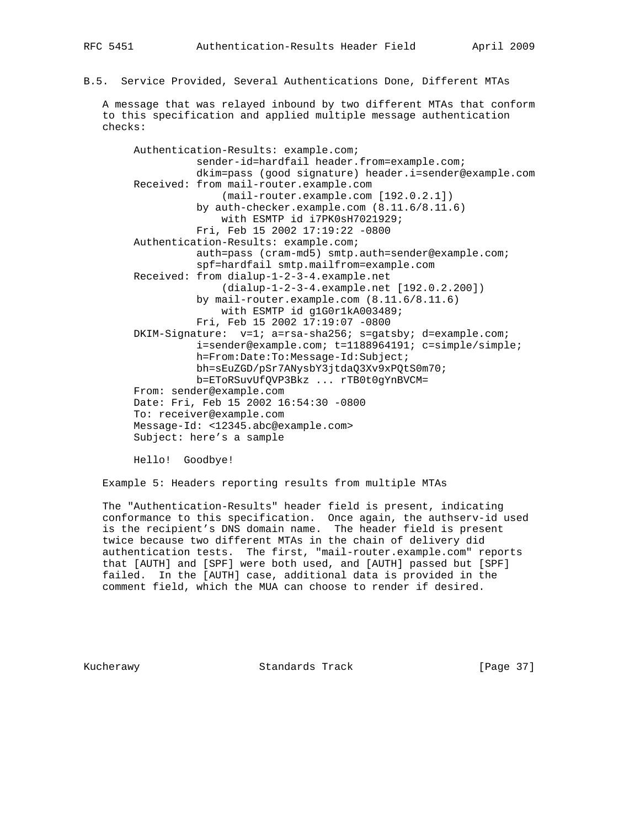B.5. Service Provided, Several Authentications Done, Different MTAs

 A message that was relayed inbound by two different MTAs that conform to this specification and applied multiple message authentication checks:

 Authentication-Results: example.com; sender-id=hardfail header.from=example.com; dkim=pass (good signature) header.i=sender@example.com Received: from mail-router.example.com (mail-router.example.com [192.0.2.1]) by auth-checker.example.com (8.11.6/8.11.6) with ESMTP id i7PK0sH7021929; Fri, Feb 15 2002 17:19:22 -0800 Authentication-Results: example.com; auth=pass (cram-md5) smtp.auth=sender@example.com; spf=hardfail smtp.mailfrom=example.com Received: from dialup-1-2-3-4.example.net (dialup-1-2-3-4.example.net [192.0.2.200]) by mail-router.example.com (8.11.6/8.11.6) with ESMTP id g1G0r1kA003489; Fri, Feb 15 2002 17:19:07 -0800 DKIM-Signature: v=1; a=rsa-sha256; s=gatsby; d=example.com; i=sender@example.com; t=1188964191; c=simple/simple; h=From:Date:To:Message-Id:Subject; bh=sEuZGD/pSr7ANysbY3jtdaQ3Xv9xPQtS0m70; b=EToRSuvUfQVP3Bkz ... rTB0t0gYnBVCM= From: sender@example.com Date: Fri, Feb 15 2002 16:54:30 -0800 To: receiver@example.com Message-Id: <12345.abc@example.com> Subject: here's a sample

Hello! Goodbye!

Example 5: Headers reporting results from multiple MTAs

 The "Authentication-Results" header field is present, indicating conformance to this specification. Once again, the authserv-id used is the recipient's DNS domain name. The header field is present twice because two different MTAs in the chain of delivery did authentication tests. The first, "mail-router.example.com" reports that [AUTH] and [SPF] were both used, and [AUTH] passed but [SPF] failed. In the [AUTH] case, additional data is provided in the comment field, which the MUA can choose to render if desired.

Kucherawy **Standards Track** [Page 37]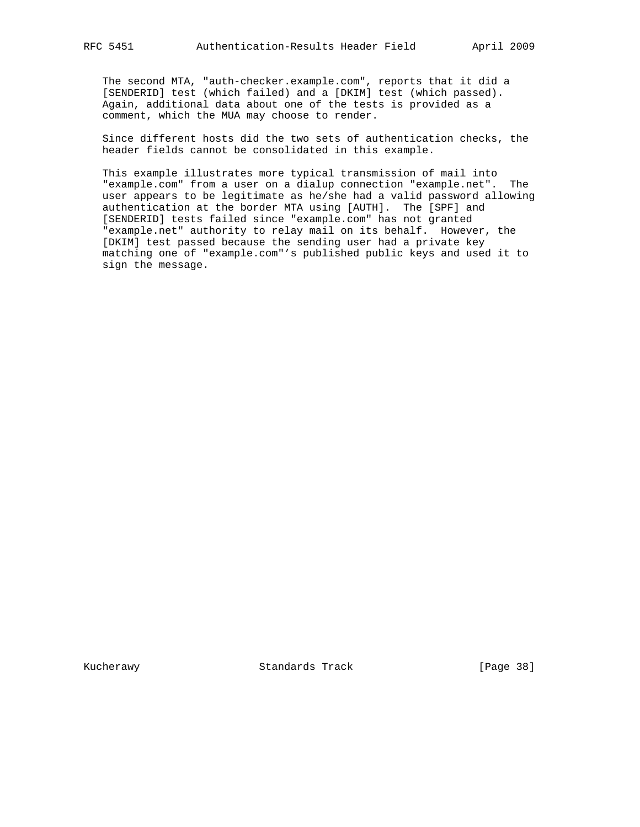The second MTA, "auth-checker.example.com", reports that it did a [SENDERID] test (which failed) and a [DKIM] test (which passed). Again, additional data about one of the tests is provided as a comment, which the MUA may choose to render.

 Since different hosts did the two sets of authentication checks, the header fields cannot be consolidated in this example.

 This example illustrates more typical transmission of mail into "example.com" from a user on a dialup connection "example.net". The user appears to be legitimate as he/she had a valid password allowing authentication at the border MTA using [AUTH]. The [SPF] and [SENDERID] tests failed since "example.com" has not granted "example.net" authority to relay mail on its behalf. However, the [DKIM] test passed because the sending user had a private key matching one of "example.com"'s published public keys and used it to sign the message.

Kucherawy Standards Track [Page 38]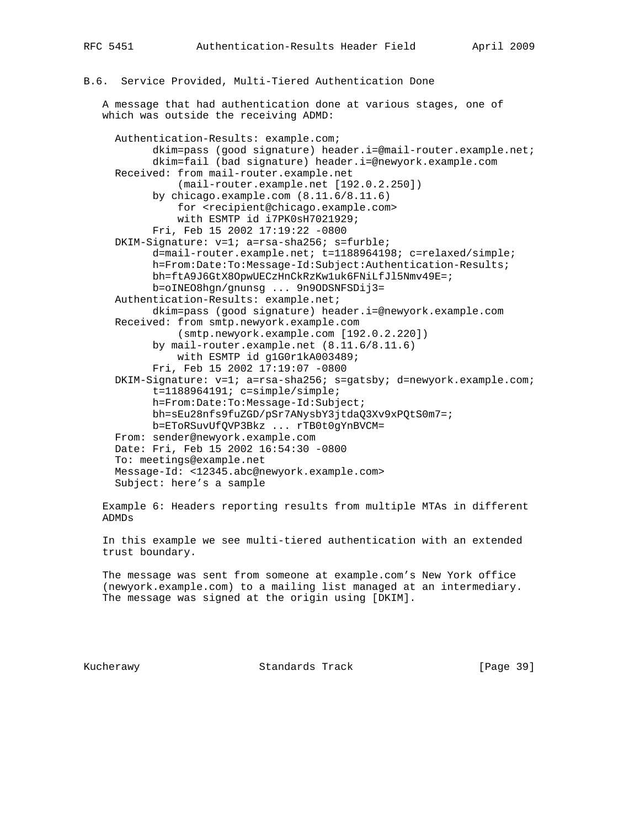# B.6. Service Provided, Multi-Tiered Authentication Done

 A message that had authentication done at various stages, one of which was outside the receiving ADMD:

 Authentication-Results: example.com; dkim=pass (good signature) header.i=@mail-router.example.net; dkim=fail (bad signature) header.i=@newyork.example.com Received: from mail-router.example.net (mail-router.example.net [192.0.2.250]) by chicago.example.com (8.11.6/8.11.6) for <recipient@chicago.example.com> with ESMTP id i7PK0sH7021929; Fri, Feb 15 2002 17:19:22 -0800 DKIM-Signature: v=1; a=rsa-sha256; s=furble; d=mail-router.example.net; t=1188964198; c=relaxed/simple; h=From:Date:To:Message-Id:Subject:Authentication-Results; bh=ftA9J6GtX8OpwUECzHnCkRzKw1uk6FNiLfJl5Nmv49E=; b=oINEO8hgn/gnunsg ... 9n9ODSNFSDij3= Authentication-Results: example.net; dkim=pass (good signature) header.i=@newyork.example.com Received: from smtp.newyork.example.com (smtp.newyork.example.com [192.0.2.220]) by mail-router.example.net (8.11.6/8.11.6) with ESMTP id g1G0r1kA003489; Fri, Feb 15 2002 17:19:07 -0800 DKIM-Signature: v=1; a=rsa-sha256; s=gatsby; d=newyork.example.com; t=1188964191; c=simple/simple; h=From:Date:To:Message-Id:Subject; bh=sEu28nfs9fuZGD/pSr7ANysbY3jtdaQ3Xv9xPQtS0m7=; b=EToRSuvUfQVP3Bkz ... rTB0t0gYnBVCM= From: sender@newyork.example.com Date: Fri, Feb 15 2002 16:54:30 -0800 To: meetings@example.net Message-Id: <12345.abc@newyork.example.com> Subject: here's a sample

 Example 6: Headers reporting results from multiple MTAs in different ADMDs

 In this example we see multi-tiered authentication with an extended trust boundary.

 The message was sent from someone at example.com's New York office (newyork.example.com) to a mailing list managed at an intermediary. The message was signed at the origin using [DKIM].

Kucherawy **Standards Track** [Page 39]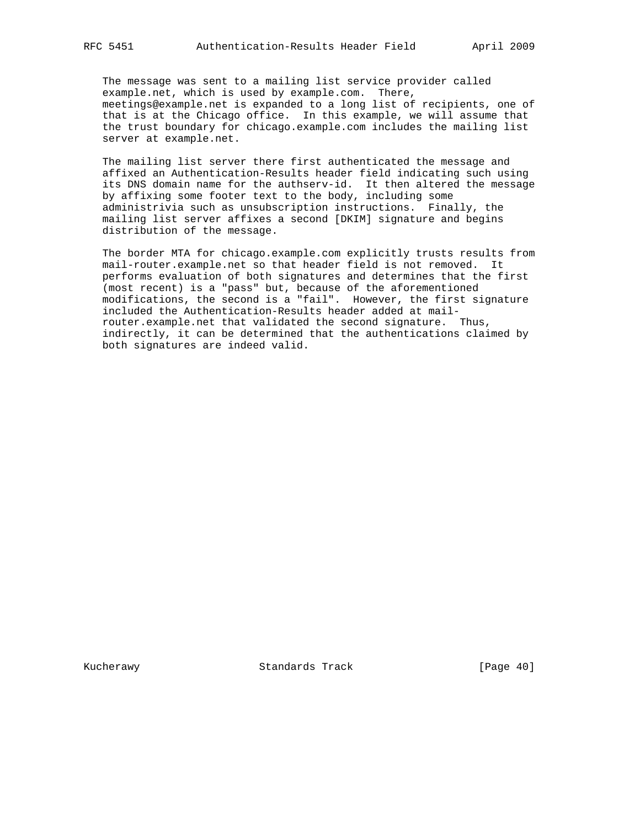The message was sent to a mailing list service provider called example.net, which is used by example.com. There, meetings@example.net is expanded to a long list of recipients, one of that is at the Chicago office. In this example, we will assume that the trust boundary for chicago.example.com includes the mailing list server at example.net.

 The mailing list server there first authenticated the message and affixed an Authentication-Results header field indicating such using its DNS domain name for the authserv-id. It then altered the message by affixing some footer text to the body, including some administrivia such as unsubscription instructions. Finally, the mailing list server affixes a second [DKIM] signature and begins distribution of the message.

 The border MTA for chicago.example.com explicitly trusts results from mail-router.example.net so that header field is not removed. It performs evaluation of both signatures and determines that the first (most recent) is a "pass" but, because of the aforementioned modifications, the second is a "fail". However, the first signature included the Authentication-Results header added at mail router.example.net that validated the second signature. Thus, indirectly, it can be determined that the authentications claimed by both signatures are indeed valid.

Kucherawy Standards Track [Page 40]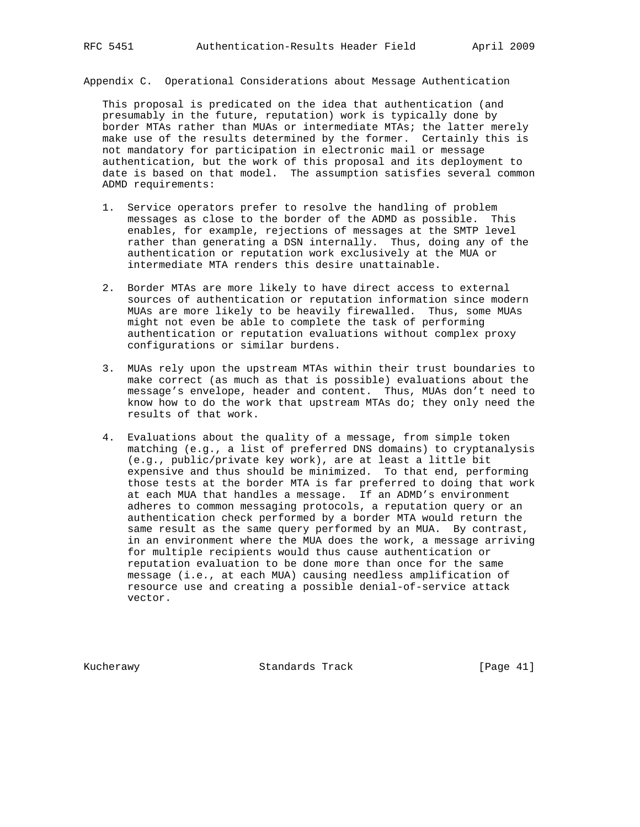Appendix C. Operational Considerations about Message Authentication

 This proposal is predicated on the idea that authentication (and presumably in the future, reputation) work is typically done by border MTAs rather than MUAs or intermediate MTAs; the latter merely make use of the results determined by the former. Certainly this is not mandatory for participation in electronic mail or message authentication, but the work of this proposal and its deployment to date is based on that model. The assumption satisfies several common ADMD requirements:

- 1. Service operators prefer to resolve the handling of problem messages as close to the border of the ADMD as possible. This enables, for example, rejections of messages at the SMTP level rather than generating a DSN internally. Thus, doing any of the authentication or reputation work exclusively at the MUA or intermediate MTA renders this desire unattainable.
- 2. Border MTAs are more likely to have direct access to external sources of authentication or reputation information since modern MUAs are more likely to be heavily firewalled. Thus, some MUAs might not even be able to complete the task of performing authentication or reputation evaluations without complex proxy configurations or similar burdens.
- 3. MUAs rely upon the upstream MTAs within their trust boundaries to make correct (as much as that is possible) evaluations about the message's envelope, header and content. Thus, MUAs don't need to know how to do the work that upstream MTAs do; they only need the results of that work.
- 4. Evaluations about the quality of a message, from simple token matching (e.g., a list of preferred DNS domains) to cryptanalysis (e.g., public/private key work), are at least a little bit expensive and thus should be minimized. To that end, performing those tests at the border MTA is far preferred to doing that work at each MUA that handles a message. If an ADMD's environment adheres to common messaging protocols, a reputation query or an authentication check performed by a border MTA would return the same result as the same query performed by an MUA. By contrast, in an environment where the MUA does the work, a message arriving for multiple recipients would thus cause authentication or reputation evaluation to be done more than once for the same message (i.e., at each MUA) causing needless amplification of resource use and creating a possible denial-of-service attack vector.

Kucherawy Standards Track [Page 41]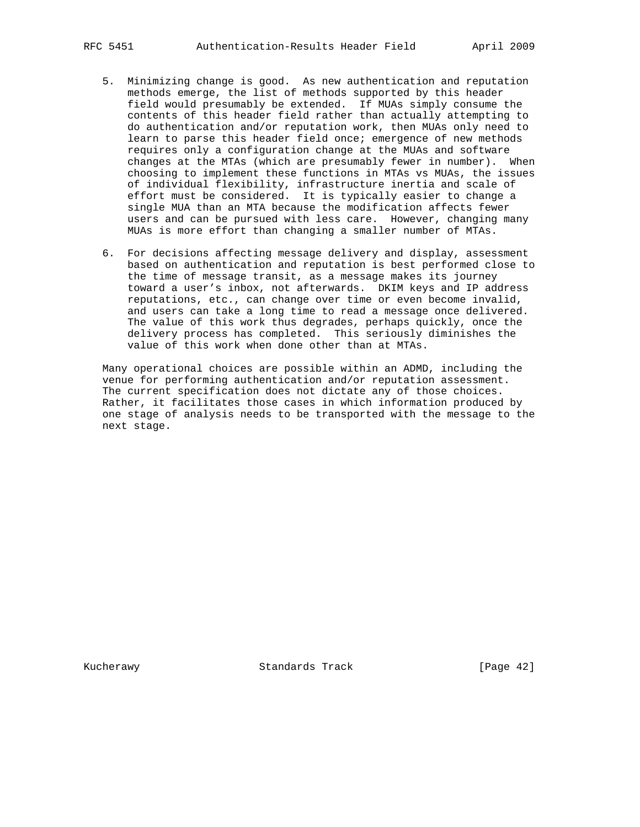- 5. Minimizing change is good. As new authentication and reputation methods emerge, the list of methods supported by this header field would presumably be extended. If MUAs simply consume the contents of this header field rather than actually attempting to do authentication and/or reputation work, then MUAs only need to learn to parse this header field once; emergence of new methods requires only a configuration change at the MUAs and software changes at the MTAs (which are presumably fewer in number). When choosing to implement these functions in MTAs vs MUAs, the issues of individual flexibility, infrastructure inertia and scale of effort must be considered. It is typically easier to change a single MUA than an MTA because the modification affects fewer users and can be pursued with less care. However, changing many MUAs is more effort than changing a smaller number of MTAs.
- 6. For decisions affecting message delivery and display, assessment based on authentication and reputation is best performed close to the time of message transit, as a message makes its journey toward a user's inbox, not afterwards. DKIM keys and IP address reputations, etc., can change over time or even become invalid, and users can take a long time to read a message once delivered. The value of this work thus degrades, perhaps quickly, once the delivery process has completed. This seriously diminishes the value of this work when done other than at MTAs.

 Many operational choices are possible within an ADMD, including the venue for performing authentication and/or reputation assessment. The current specification does not dictate any of those choices. Rather, it facilitates those cases in which information produced by one stage of analysis needs to be transported with the message to the next stage.

Kucherawy Standards Track [Page 42]